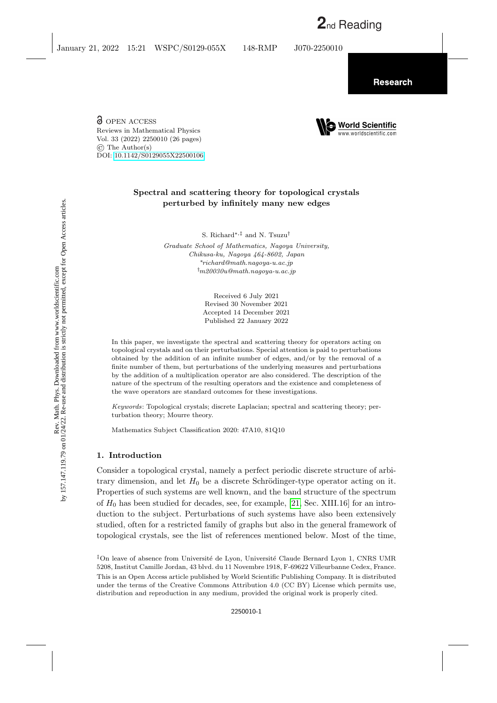O OPEN ACCESS Reviews in Mathematical Physics Vol. 33 (2022) 2250010 (26 pages) © The Author(s) DOI: [10.1142/S0129055X22500106](https://dx.doi.org/10.1142/S0129055X22500106)

# Spectral and scattering theory for topological crystals perturbed by infinitely many new edges

S. Richard∗,‡ and N. Tsuzu†

Graduate School of Mathematics, Nagoya University, Chikusa-ku, Nagoya 464-8602, Japan <sup>∗</sup>richard@math.nagoya-u.ac.jp  $\mathcal{m}$ 20030u@math.nagoya-u.ac.jp

> Received 6 July 2021 Revised 30 November 2021 Accepted 14 December 2021 Published 22 January 2022

In this paper, we investigate the spectral and scattering theory for operators acting on topological crystals and on their perturbations. Special attention is paid to perturbations obtained by the addition of an infinite number of edges, and/or by the removal of a finite number of them, but perturbations of the underlying measures and perturbations by the addition of a multiplication operator are also considered. The description of the nature of the spectrum of the resulting operators and the existence and completeness of the wave operators are standard outcomes for these investigations.

Keywords: Topological crystals; discrete Laplacian; spectral and scattering theory; perturbation theory; Mourre theory.

Mathematics Subject Classification 2020: 47A10, 81Q10

## <span id="page-0-0"></span>1. Introduction

Consider a topological crystal, namely a perfect periodic discrete structure of arbitrary dimension, and let  $H_0$  be a discrete Schrödinger-type operator acting on it. Properties of such systems are well known, and the band structure of the spectrum of  $H_0$  has been studied for decades, see, for example, [\[21,](#page-25-0) Sec. XIII.16] for an introduction to the subject. Perturbations of such systems have also been extensively studied, often for a restricted family of graphs but also in the general framework of topological crystals, see the list of references mentioned below. Most of the time,



<sup>&</sup>lt;sup>‡</sup>On leave of absence from Université de Lyon, Université Claude Bernard Lyon 1, CNRS UMR 5208, Institut Camille Jordan, 43 blvd. du 11 Novembre 1918, F-69622 Villeurbanne Cedex, France. This is an Open Access article published by World Scientific Publishing Company. It is distributed under the terms of the Creative Commons Attribution 4.0 (CC BY) License which permits use, distribution and reproduction in any medium, provided the original work is properly cited.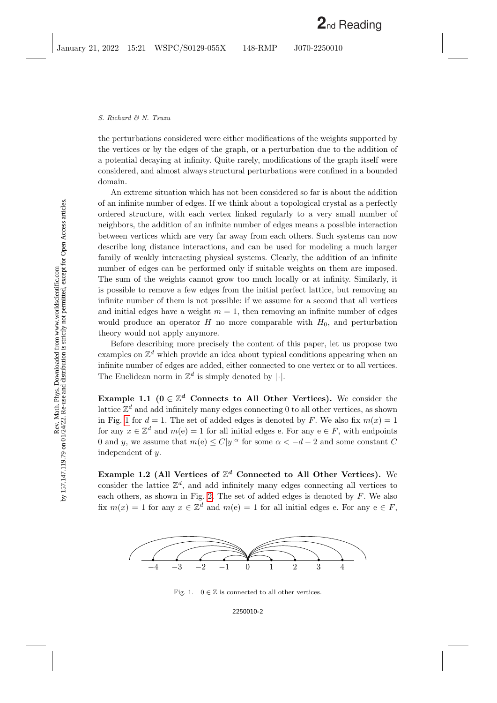the perturbations considered were either modifications of the weights supported by the vertices or by the edges of the graph, or a perturbation due to the addition of a potential decaying at infinity. Quite rarely, modifications of the graph itself were considered, and almost always structural perturbations were confined in a bounded domain.

An extreme situation which has not been considered so far is about the addition of an infinite number of edges. If we think about a topological crystal as a perfectly ordered structure, with each vertex linked regularly to a very small number of neighbors, the addition of an infinite number of edges means a possible interaction between vertices which are very far away from each others. Such systems can now describe long distance interactions, and can be used for modeling a much larger family of weakly interacting physical systems. Clearly, the addition of an infinite number of edges can be performed only if suitable weights on them are imposed. The sum of the weights cannot grow too much locally or at infinity. Similarly, it is possible to remove a few edges from the initial perfect lattice, but removing an infinite number of them is not possible: if we assume for a second that all vertices and initial edges have a weight  $m = 1$ , then removing an infinite number of edges would produce an operator H no more comparable with  $H_0$ , and perturbation theory would not apply anymore.

Before describing more precisely the content of this paper, let us propose two examples on  $\mathbb{Z}^d$  which provide an idea about typical conditions appearing when an infinite number of edges are added, either connected to one vertex or to all vertices. The Euclidean norm in  $\mathbb{Z}^d$  is simply denoted by |.|.

<span id="page-1-1"></span>Example 1.1 ( $0 \in \mathbb{Z}^d$  Connects to All Other Vertices). We consider the lattice  $\mathbb{Z}^d$  and add infinitely many edges connecting 0 to all other vertices, as shown in Fig. [1](#page-1-0) for  $d = 1$ . The set of added edges is denoted by F. We also fix  $m(x) = 1$ for any  $x \in \mathbb{Z}^d$  and  $m(e) = 1$  for all initial edges e. For any  $e \in F$ , with endpoints 0 and y, we assume that  $m(e) \leq C|y|^{\alpha}$  for some  $\alpha < -d-2$  and some constant C independent of y.

<span id="page-1-2"></span>Example 1.2 (All Vertices of  $\mathbb{Z}^d$  Connected to All Other Vertices). We consider the lattice  $\mathbb{Z}^d$ , and add infinitely many edges connecting all vertices to each others, as shown in Fig. [2.](#page-2-0) The set of added edges is denoted by  $F$ . We also fix  $m(x) = 1$  for any  $x \in \mathbb{Z}^d$  and  $m(e) = 1$  for all initial edges e. For any  $e \in F$ ,



<span id="page-1-0"></span>Fig. 1.  $0 \in \mathbb{Z}$  is connected to all other vertices.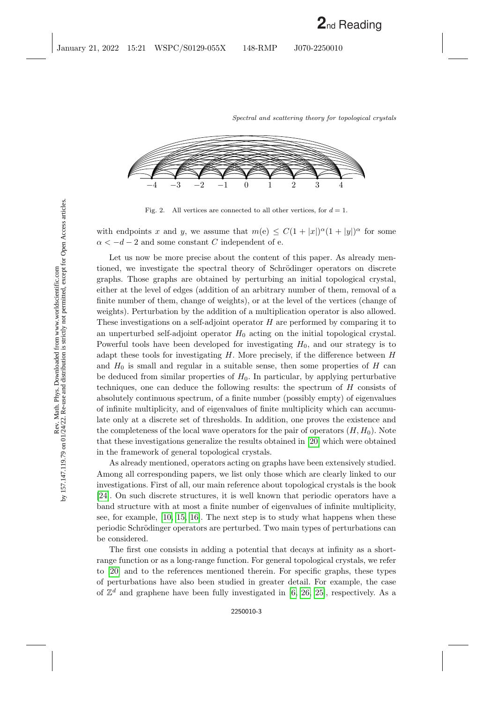

<span id="page-2-0"></span>Fig. 2. All vertices are connected to all other vertices, for  $d = 1$ .

with endpoints x and y, we assume that  $m(e) \leq C(1+|x|)^{\alpha}(1+|y|)^{\alpha}$  for some  $\alpha < -d-2$  and some constant C independent of e.

Let us now be more precise about the content of this paper. As already mentioned, we investigate the spectral theory of Schrödinger operators on discrete graphs. Those graphs are obtained by perturbing an initial topological crystal, either at the level of edges (addition of an arbitrary number of them, removal of a finite number of them, change of weights), or at the level of the vertices (change of weights). Perturbation by the addition of a multiplication operator is also allowed. These investigations on a self-adjoint operator H are performed by comparing it to an unperturbed self-adjoint operator  $H_0$  acting on the initial topological crystal. Powerful tools have been developed for investigating  $H_0$ , and our strategy is to adapt these tools for investigating  $H$ . More precisely, if the difference between  $H$ and  $H_0$  is small and regular in a suitable sense, then some properties of H can be deduced from similar properties of  $H_0$ . In particular, by applying perturbative techniques, one can deduce the following results: the spectrum of H consists of absolutely continuous spectrum, of a finite number (possibly empty) of eigenvalues of infinite multiplicity, and of eigenvalues of finite multiplicity which can accumulate only at a discrete set of thresholds. In addition, one proves the existence and the completeness of the local wave operators for the pair of operators  $(H, H_0)$ . Note that these investigations generalize the results obtained in [\[20\]](#page-25-1) which were obtained in the framework of general topological crystals.

As already mentioned, operators acting on graphs have been extensively studied. Among all corresponding papers, we list only those which are clearly linked to our investigations. First of all, our main reference about topological crystals is the book [\[24\]](#page-25-2). On such discrete structures, it is well known that periodic operators have a band structure with at most a finite number of eigenvalues of infinite multiplicity, see, for example, [\[10,](#page-25-3) [15,](#page-25-4) [16\]](#page-25-5). The next step is to study what happens when these periodic Schrödinger operators are perturbed. Two main types of perturbations can be considered.

The first one consists in adding a potential that decays at infinity as a shortrange function or as a long-range function. For general topological crystals, we refer to [\[20\]](#page-25-1) and to the references mentioned therein. For specific graphs, these types of perturbations have also been studied in greater detail. For example, the case of  $\mathbb{Z}^d$  and graphene have been fully investigated in [\[6,](#page-25-6) [26,](#page-25-7) [25\]](#page-25-8), respectively. As a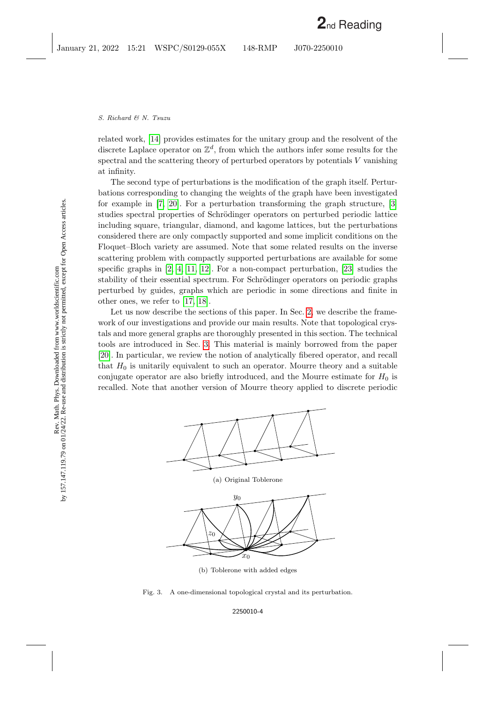related work, [\[14\]](#page-25-9) provides estimates for the unitary group and the resolvent of the discrete Laplace operator on  $\mathbb{Z}^d$ , from which the authors infer some results for the spectral and the scattering theory of perturbed operators by potentials V vanishing at infinity.

The second type of perturbations is the modification of the graph itself. Perturbations corresponding to changing the weights of the graph have been investigated for example in [\[7,](#page-25-10) [20\]](#page-25-1). For a perturbation transforming the graph structure, [\[3\]](#page-24-0) studies spectral properties of Schrödinger operators on perturbed periodic lattice including square, triangular, diamond, and kagome lattices, but the perturbations considered there are only compactly supported and some implicit conditions on the Floquet–Bloch variety are assumed. Note that some related results on the inverse scattering problem with compactly supported perturbations are available for some specific graphs in  $[2, 4, 11, 12]$  $[2, 4, 11, 12]$  $[2, 4, 11, 12]$  $[2, 4, 11, 12]$ . For a non-compact perturbation,  $[23]$  studies the stability of their essential spectrum. For Schrödinger operators on periodic graphs perturbed by guides, graphs which are periodic in some directions and finite in other ones, we refer to [\[17,](#page-25-14) [18\]](#page-25-15).

Let us now describe the sections of this paper. In Sec. [2,](#page-4-0) we describe the framework of our investigations and provide our main results. Note that topological crystals and more general graphs are thoroughly presented in this section. The technical tools are introduced in Sec. [3.](#page-10-0) This material is mainly borrowed from the paper [\[20\]](#page-25-1). In particular, we review the notion of analytically fibered operator, and recall that  $H_0$  is unitarily equivalent to such an operator. Mourre theory and a suitable conjugate operator are also briefly introduced, and the Mourre estimate for  $H_0$  is recalled. Note that another version of Mourre theory applied to discrete periodic



<span id="page-3-0"></span>(b) Toblerone with added edges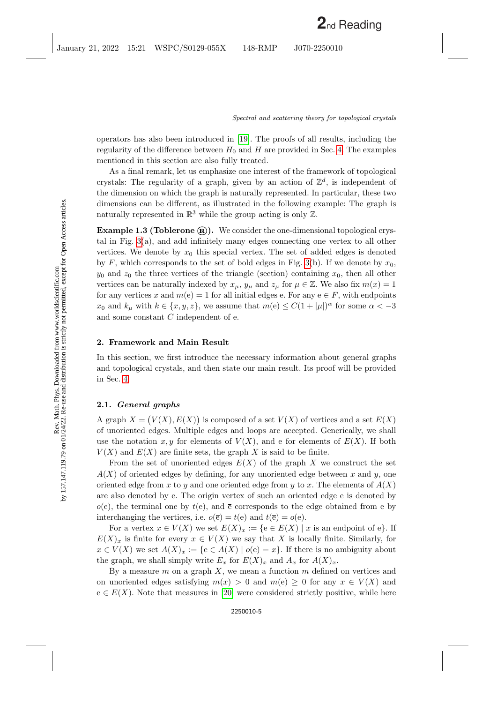operators has also been introduced in [\[19\]](#page-25-16). The proofs of all results, including the regularity of the difference between  $H_0$  and H are provided in Sec. [4.](#page-14-0) The examples mentioned in this section are also fully treated.

As a final remark, let us emphasize one interest of the framework of topological crystals: The regularity of a graph, given by an action of  $\mathbb{Z}^d$ , is independent of the dimension on which the graph is naturally represented. In particular, these two dimensions can be different, as illustrated in the following example: The graph is naturally represented in  $\mathbb{R}^3$  while the group acting is only  $\mathbb{Z}$ .

<span id="page-4-1"></span>**Example 1.3 (Toblerone**  $(\mathbf{\overline{R}})$ **).** We consider the one-dimensional topological crystal in Fig. [3\(](#page-3-0)a), and add infinitely many edges connecting one vertex to all other vertices. We denote by  $x_0$  this special vertex. The set of added edges is denoted by F, which corresponds to the set of bold edges in Fig. [3\(](#page-3-0)b). If we denote by  $x_0$ ,  $y_0$  and  $z_0$  the three vertices of the triangle (section) containing  $x_0$ , then all other vertices can be naturally indexed by  $x_{\mu}$ ,  $y_{\mu}$  and  $z_{\mu}$  for  $\mu \in \mathbb{Z}$ . We also fix  $m(x) = 1$ for any vertices x and  $m(e) = 1$  for all initial edges e. For any  $e \in F$ , with endpoints  $x_0$  and  $k_\mu$  with  $k \in \{x, y, z\}$ , we assume that  $m(e) \leq C(1 + |\mu|)^\alpha$  for some  $\alpha < -3$ and some constant C independent of e.

## <span id="page-4-0"></span>2. Framework and Main Result

In this section, we first introduce the necessary information about general graphs and topological crystals, and then state our main result. Its proof will be provided in Sec. [4.](#page-14-0)

### 2.1. General graphs

A graph  $X = (V(X), E(X))$  is composed of a set  $V(X)$  of vertices and a set  $E(X)$ of unoriented edges. Multiple edges and loops are accepted. Generically, we shall use the notation x, y for elements of  $V(X)$ , and e for elements of  $E(X)$ . If both  $V(X)$  and  $E(X)$  are finite sets, the graph X is said to be finite.

From the set of unoriented edges  $E(X)$  of the graph X we construct the set  $A(X)$  of oriented edges by defining, for any unoriented edge between x and y, one oriented edge from x to y and one oriented edge from y to x. The elements of  $A(X)$ are also denoted by e. The origin vertex of such an oriented edge e is denoted by  $o(e)$ , the terminal one by  $t(e)$ , and  $\bar{e}$  corresponds to the edge obtained from e by interchanging the vertices, i.e.  $o(\bar{e}) = t(e)$  and  $t(\bar{e}) = o(e)$ .

For a vertex  $x \in V(X)$  we set  $E(X)_x := \{e \in E(X) \mid x$  is an endpoint of e.  $E(X)_x$  is finite for every  $x \in V(X)$  we say that X is locally finite. Similarly, for  $x \in V(X)$  we set  $A(X)_x := \{e \in A(X) \mid o(e) = x\}.$  If there is no ambiguity about the graph, we shall simply write  $E_x$  for  $E(X)_x$  and  $A_x$  for  $A(X)_x$ .

By a measure  $m$  on a graph  $X$ , we mean a function  $m$  defined on vertices and on unoriented edges satisfying  $m(x) > 0$  and  $m(e) \geq 0$  for any  $x \in V(X)$  and  $e \in E(X)$ . Note that measures in [\[20\]](#page-25-1) were considered strictly positive, while here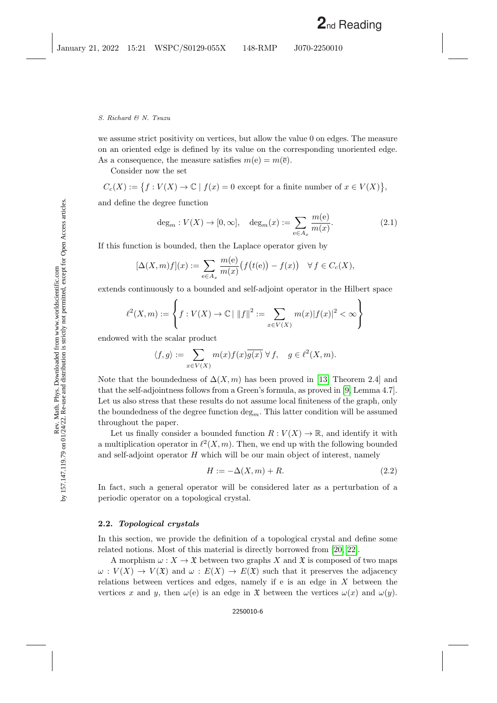we assume strict positivity on vertices, but allow the value 0 on edges. The measure on an oriented edge is defined by its value on the corresponding unoriented edge. As a consequence, the measure satisfies  $m(e) = m(\bar{e})$ .

Consider now the set

$$
C_c(X) := \{ f : V(X) \to \mathbb{C} \mid f(x) = 0 \text{ except for a finite number of } x \in V(X) \},
$$

and define the degree function

<span id="page-5-0"></span>
$$
\deg_m: V(X) \to [0, \infty], \quad \deg_m(x) := \sum_{e \in A_x} \frac{m(e)}{m(x)}.\tag{2.1}
$$

If this function is bounded, then the Laplace operator given by

$$
[\Delta(X,m)f](x) := \sum_{e \in A_x} \frac{m(e)}{m(x)} \big( f\big(t(e)\big) - f(x) \big) \quad \forall \, f \in C_c(X),
$$

extends continuously to a bounded and self-adjoint operator in the Hilbert space

$$
\ell^2(X,m) := \left\{ f : V(X) \to \mathbb{C} \mid ||f||^2 := \sum_{x \in V(X)} m(x) |f(x)|^2 < \infty \right\}
$$

endowed with the scalar product

$$
\langle f, g \rangle := \sum_{x \in V(X)} m(x) f(x) \overline{g(x)} \,\, \forall \, f, \quad g \in \ell^2(X, m).
$$

Note that the boundedness of  $\Delta(X, m)$  has been proved in [\[13,](#page-25-17) Theorem 2.4] and that the self-adjointness follows from a Green's formula, as proved in [\[9,](#page-25-18) Lemma 4.7]. Let us also stress that these results do not assume local finiteness of the graph, only the boundedness of the degree function  $\deg_m$ . This latter condition will be assumed throughout the paper.

Let us finally consider a bounded function  $R: V(X) \to \mathbb{R}$ , and identify it with a multiplication operator in  $\ell^2(X, m)$ . Then, we end up with the following bounded and self-adjoint operator  $H$  which will be our main object of interest, namely

<span id="page-5-1"></span>
$$
H := -\Delta(X, m) + R. \tag{2.2}
$$

In fact, such a general operator will be considered later as a perturbation of a periodic operator on a topological crystal.

#### <span id="page-5-2"></span>2.2. Topological crystals

In this section, we provide the definition of a topological crystal and define some related notions. Most of this material is directly borrowed from [\[20,](#page-25-1) [22\]](#page-25-19).

A morphism  $\omega: X \to \mathfrak{X}$  between two graphs X and  $\mathfrak{X}$  is composed of two maps  $\omega: V(X) \to V(X)$  and  $\omega: E(X) \to E(X)$  such that it preserves the adjacency relations between vertices and edges, namely if  $e$  is an edge in  $X$  between the vertices x and y, then  $\omega(e)$  is an edge in X between the vertices  $\omega(x)$  and  $\omega(y)$ .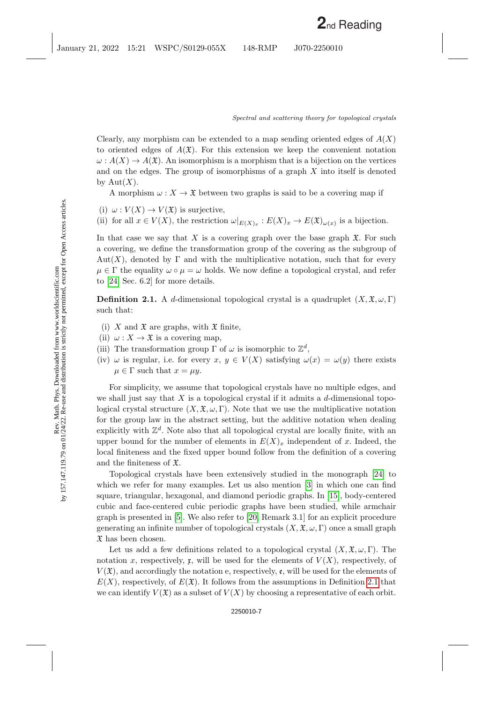Clearly, any morphism can be extended to a map sending oriented edges of  $A(X)$ to oriented edges of  $A(\mathfrak{X})$ . For this extension we keep the convenient notation  $\omega: A(X) \to A(\mathfrak{X})$ . An isomorphism is a morphism that is a bijection on the vertices and on the edges. The group of isomorphisms of a graph X into itself is denoted by  $Aut(X)$ .

A morphism  $\omega: X \to \mathfrak{X}$  between two graphs is said to be a covering map if

- (i)  $\omega: V(X) \to V(\mathfrak{X})$  is surjective,
- (ii) for all  $x \in V(X)$ , the restriction  $\omega|_{E(X)_x} : E(X)_x \to E(\mathfrak{X})_{\omega(x)}$  is a bijection.

In that case we say that X is a covering graph over the base graph  $\mathfrak{X}$ . For such a covering, we define the transformation group of the covering as the subgroup of  $Aut(X)$ , denoted by  $\Gamma$  and with the multiplicative notation, such that for every  $\mu \in \Gamma$  the equality  $\omega \circ \mu = \omega$  holds. We now define a topological crystal, and refer to [\[24,](#page-25-2) Sec. 6.2] for more details.

<span id="page-6-0"></span>**Definition 2.1.** A d-dimensional topological crystal is a quadruplet  $(X, \mathfrak{X}, \omega, \Gamma)$ such that:

- (i) X and  $\mathfrak X$  are graphs, with  $\mathfrak X$  finite,
- (ii)  $\omega: X \to \mathfrak{X}$  is a covering map,
- (iii) The transformation group  $\Gamma$  of  $\omega$  is isomorphic to  $\mathbb{Z}^d$ ,
- (iv)  $\omega$  is regular, i.e. for every  $x, y \in V(X)$  satisfying  $\omega(x) = \omega(y)$  there exists  $\mu \in \Gamma$  such that  $x = \mu y$ .

For simplicity, we assume that topological crystals have no multiple edges, and we shall just say that  $X$  is a topological crystal if it admits a  $d$ -dimensional topological crystal structure  $(X, \mathfrak{X}, \omega, \Gamma)$ . Note that we use the multiplicative notation for the group law in the abstract setting, but the additive notation when dealing explicitly with  $\mathbb{Z}^d$ . Note also that all topological crystal are locally finite, with an upper bound for the number of elements in  $E(X)_x$  independent of x. Indeed, the local finiteness and the fixed upper bound follow from the definition of a covering and the finiteness of X.

Topological crystals have been extensively studied in the monograph [\[24\]](#page-25-2) to which we refer for many examples. Let us also mention [\[3\]](#page-24-0) in which one can find square, triangular, hexagonal, and diamond periodic graphs. In [\[15\]](#page-25-4), body-centered cubic and face-centered cubic periodic graphs have been studied, while armchair graph is presented in [\[5\]](#page-25-20). We also refer to [\[20,](#page-25-1) Remark 3.1] for an explicit procedure generating an infinite number of topological crystals  $(X, \mathfrak{X}, \omega, \Gamma)$  once a small graph  $\mathfrak X$  has been chosen.

Let us add a few definitions related to a topological crystal  $(X, \mathfrak{X}, \omega, \Gamma)$ . The notation x, respectively, x, will be used for the elements of  $V(X)$ , respectively, of  $V(\mathfrak{X})$ , and accordingly the notation e, respectively, e, will be used for the elements of  $E(X)$ , respectively, of  $E(\mathfrak{X})$ . It follows from the assumptions in Definition [2.1](#page-6-0) that we can identify  $V(\mathfrak{X})$  as a subset of  $V(X)$  by choosing a representative of each orbit.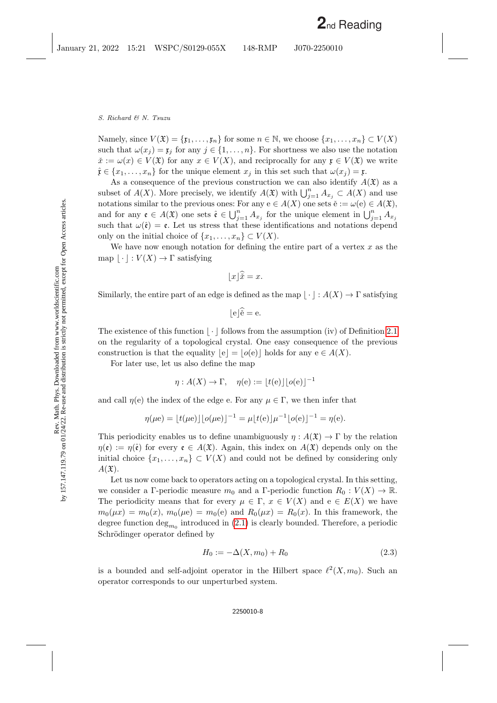Namely, since  $V(\mathfrak{X}) = \{\mathfrak{x}_1, \ldots, \mathfrak{x}_n\}$  for some  $n \in \mathbb{N}$ , we choose  $\{x_1, \ldots, x_n\} \subset V(X)$ such that  $\omega(x_i) = \mathfrak{x}_i$  for any  $j \in \{1, \ldots, n\}$ . For shortness we also use the notation  $\check{x} := \omega(x) \in V(\mathfrak{X})$  for any  $x \in V(X)$ , and reciprocally for any  $\mathfrak{x} \in V(\mathfrak{X})$  we write  $\hat{\mathfrak{x}} \in \{x_1, \ldots, x_n\}$  for the unique element  $x_j$  in this set such that  $\omega(x_j) = \mathfrak{x}$ .

As a consequence of the previous construction we can also identify  $A(\mathfrak{X})$  as a subset of  $A(X)$ . More precisely, we identify  $A(\mathfrak{X})$  with  $\bigcup_{j=1}^n A_{x_j} \subset A(X)$  and use notations similar to the previous ones: For any  $e \in A(X)$  one sets  $\check{e} := \omega(e) \in A(\mathfrak{X}),$ and for any  $\mathfrak{e} \in A(\mathfrak{X})$  one sets  $\hat{\mathfrak{e}} \in \bigcup_{j=1}^n A_{x_j}$  for the unique element in  $\bigcup_{j=1}^n A_{x_j}$ such that  $\omega(\hat{\mathfrak{e}}) = \mathfrak{e}$ . Let us stress that these identifications and notations depend only on the initial choice of  $\{x_1, \ldots, x_n\} \subset V(X)$ .

We have now enough notation for defining the entire part of a vertex  $x$  as the map  $\lfloor \cdot \rfloor : V(X) \to \Gamma$  satisfying

$$
\lfloor x \rfloor \widehat{x} = x.
$$

Similarly, the entire part of an edge is defined as the map  $\vert \cdot \vert : A(X) \to \Gamma$  satisfying

$$
\lfloor e \rfloor \widetilde{e} = e.
$$

The existence of this function  $\vert \cdot \vert$  follows from the assumption (iv) of Definition [2.1](#page-6-0) on the regularity of a topological crystal. One easy consequence of the previous construction is that the equality  $|e| = |o(e)|$  holds for any  $e \in A(X)$ .

For later use, let us also define the map

$$
\eta : A(X) \to \Gamma, \quad \eta(e) := \lfloor t(e) \rfloor \lfloor o(e) \rfloor^{-1}
$$

and call  $\eta(e)$  the index of the edge e. For any  $\mu \in \Gamma$ , we then infer that

$$
\eta(\mu e) = \lfloor t(\mu e) \rfloor \lfloor o(\mu e) \rfloor^{-1} = \mu \lfloor t(e) \rfloor \mu^{-1} \lfloor o(e) \rfloor^{-1} = \eta(e).
$$

This periodicity enables us to define unambiguously  $\eta : A(\mathfrak{X}) \to \Gamma$  by the relation  $\eta(\mathfrak{e}) := \eta(\hat{\mathfrak{e}})$  for every  $\mathfrak{e} \in A(\mathfrak{X})$ . Again, this index on  $A(\mathfrak{X})$  depends only on the initial choice  $\{x_1, \ldots, x_n\} \subset V(X)$  and could not be defined by considering only  $A(\mathfrak{X}).$ 

Let us now come back to operators acting on a topological crystal. In this setting, we consider a Γ-periodic measure  $m_0$  and a Γ-periodic function  $R_0 : V(X) \to \mathbb{R}$ . The periodicity means that for every  $\mu \in \Gamma$ ,  $x \in V(X)$  and  $e \in E(X)$  we have  $m_0(\mu x) = m_0(x), m_0(\mu e) = m_0(e)$  and  $R_0(\mu x) = R_0(x)$ . In this framework, the degree function  $\deg_{m_0}$  introduced in  $(2.1)$  is clearly bounded. Therefore, a periodic Schrödinger operator defined by

<span id="page-7-0"></span>
$$
H_0 := -\Delta(X, m_0) + R_0 \tag{2.3}
$$

is a bounded and self-adjoint operator in the Hilbert space  $\ell^2(X, m_0)$ . Such an operator corresponds to our unperturbed system.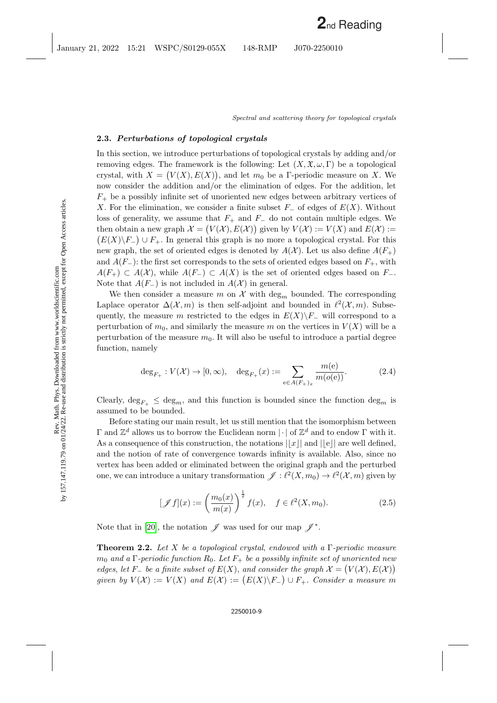### 2.3. Perturbations of topological crystals

In this section, we introduce perturbations of topological crystals by adding and/or removing edges. The framework is the following: Let  $(X, \mathfrak{X}, \omega, \Gamma)$  be a topological crystal, with  $X = (V(X), E(X))$ , and let  $m_0$  be a Γ-periodic measure on X. We now consider the addition and/or the elimination of edges. For the addition, let  $F_{+}$  be a possibly infinite set of unoriented new edges between arbitrary vertices of X. For the elimination, we consider a finite subset  $F_-\,$  of edges of  $E(X)$ . Without loss of generality, we assume that  $F_+$  and  $F_-\,$  do not contain multiple edges. We then obtain a new graph  $\mathcal{X} = (V(\mathcal{X}), E(\mathcal{X}))$  given by  $V(\mathcal{X}) := V(X)$  and  $E(\mathcal{X}) :=$  $(E(X)\backslash F_{-})\cup F_{+}$ . In general this graph is no more a topological crystal. For this new graph, the set of oriented edges is denoted by  $A(\mathcal{X})$ . Let us also define  $A(F_+)$ and  $A(F_{-})$ : the first set corresponds to the sets of oriented edges based on  $F_{+}$ , with  $A(F_+) \subset A(X)$ , while  $A(F_-) \subset A(X)$  is the set of oriented edges based on  $F_-.$ Note that  $A(F_-)$  is not included in  $A(\mathcal{X})$  in general.

We then consider a measure m on  $\mathcal X$  with  $\deg_m$  bounded. The corresponding Laplace operator  $\Delta(\mathcal{X}, m)$  is then self-adjoint and bounded in  $\ell^2(\mathcal{X}, m)$ . Subsequently, the measure m restricted to the edges in  $E(X)\F$ <sup>-</sup> will correspond to a perturbation of  $m_0$ , and similarly the measure m on the vertices in  $V(X)$  will be a perturbation of the measure  $m_0$ . It will also be useful to introduce a partial degree function, namely

<span id="page-8-1"></span>
$$
\deg_{F_+}: V(\mathcal{X}) \to [0, \infty), \quad \deg_{F_+}(x) := \sum_{e \in A(F_+)_x} \frac{m(e)}{m(o(e))}.
$$
 (2.4)

Clearly,  $\deg_{F_+} \leq \deg_m$ , and this function is bounded since the function  $\deg_m$  is assumed to be bounded.

Before stating our main result, let us still mention that the isomorphism between  $Γ$  and  $\mathbb{Z}^d$  allows us to borrow the Euclidean norm  $|·|$  of  $\mathbb{Z}^d$  and to endow  $Γ$  with it. As a consequence of this construction, the notations  $||x||$  and  $||e||$  are well defined, and the notion of rate of convergence towards infinity is available. Also, since no vertex has been added or eliminated between the original graph and the perturbed one, we can introduce a unitary transformation  $\mathscr{J} : \ell^2(X, m_0) \to \ell^2(X, m)$  given by

<span id="page-8-0"></span>
$$
[\mathscr{J}f](x) := \left(\frac{m_0(x)}{m(x)}\right)^{\frac{1}{2}} f(x), \quad f \in \ell^2(X, m_0).
$$
 (2.5)

<span id="page-8-2"></span>Note that in [\[20\]](#page-25-1), the notation  $\mathscr J$  was used for our map  $\mathscr J^*$ .

**Theorem 2.2.** Let X be a topological crystal, endowed with a  $\Gamma$ -periodic measure  $m_0$  and a Γ-periodic function  $R_0$ . Let  $F_+$  be a possibly infinite set of unoriented new edges, let F<sub>-</sub> be a finite subset of  $E(X)$ , and consider the graph  $\mathcal{X} = (V(\mathcal{X}), E(\mathcal{X}))$ given by  $V(\mathcal{X}) := V(X)$  and  $E(\mathcal{X}) := (E(X) \backslash F) \cup F_+$ . Consider a measure m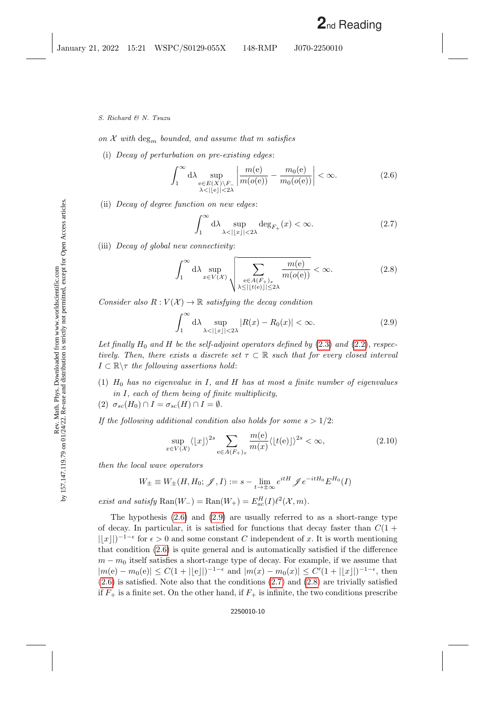on  $\mathcal X$  with deg<sub>m</sub> bounded, and assume that m satisfies

(i) Decay of perturbation on pre-existing edges:

<span id="page-9-0"></span>
$$
\int_{1}^{\infty} d\lambda \sup_{\substack{e \in E(X) \backslash F_{-} \\ \lambda < |e|| < 2\lambda}} \left| \frac{m(e)}{m(o(e))} - \frac{m_0(e)}{m_0(o(e))} \right| < \infty. \tag{2.6}
$$

(ii) Decay of degree function on new edges:

<span id="page-9-2"></span>
$$
\int_{1}^{\infty} d\lambda \sup_{\lambda < | \lfloor x \rfloor | < 2\lambda} \deg_{F_+}(x) < \infty.
$$
 (2.7)

(iii) Decay of global new connectivity:

<span id="page-9-3"></span>
$$
\int_{1}^{\infty} d\lambda \sup_{x \in V(\mathcal{X})} \sqrt{\sum_{\substack{e \in A(F_+)_x \\ \lambda \le ||t(e)|| \le 2\lambda}} \frac{m(e)}{m(o(e))}} < \infty.
$$
 (2.8)

Consider also  $R: V(\mathcal{X}) \to \mathbb{R}$  satisfying the decay condition

<span id="page-9-1"></span>
$$
\int_{1}^{\infty} d\lambda \sup_{\lambda < |x| < 2\lambda} |R(x) - R_0(x)| < \infty.
$$
 (2.9)

Let finally  $H_0$  and H be the self-adjoint operators defined by [\(2.3\)](#page-7-0) and [\(2.2\)](#page-5-1), respectively. Then, there exists a discrete set  $\tau \subset \mathbb{R}$  such that for every closed interval  $I \subset \mathbb{R} \setminus \tau$  the following assertions hold:

- (1)  $H_0$  has no eigenvalue in I, and H has at most a finite number of eigenvalues in I, each of them being of finite multiplicity,
- (2)  $\sigma_{sc}(H_0) \cap I = \sigma_{sc}(H) \cap I = \emptyset.$

If the following additional condition also holds for some  $s > 1/2$ :

<span id="page-9-4"></span>
$$
\sup_{x \in V(\mathcal{X})} \langle |x| \rangle^{2s} \sum_{e \in A(F_+)_x} \frac{m(e)}{m(x)} \langle |t(e)| \rangle^{2s} < \infty,\tag{2.10}
$$

then the local wave operators

$$
W_{\pm} \equiv W_{\pm}(H, H_0; \mathscr{J}, I) := s - \lim_{t \to \pm \infty} e^{itH} \mathscr{J} e^{-itH_0} E^{H_0}(I)
$$

exist and satisfy  $\text{Ran}(W_-) = \text{Ran}(W_+) = E_{ac}^H(I)\ell^2(\mathcal{X}, m).$ 

The hypothesis [\(2.6\)](#page-9-0) and [\(2.9\)](#page-9-1) are usually referred to as a short-range type of decay. In particular, it is satisfied for functions that decay faster than  $C(1 +$  $\lfloor |x| \rfloor$ <sup>-1- $\epsilon$ </sup> for  $\epsilon > 0$  and some constant C independent of x. It is worth mentioning that condition [\(2.6\)](#page-9-0) is quite general and is automatically satisfied if the difference  $m - m<sub>0</sub>$  itself satisfies a short-range type of decay. For example, if we assume that  $|m(e) - m_0(e)| \leq C(1 + ||e||)^{-1-\epsilon}$  and  $|m(x) - m_0(x)| \leq C'(1 + ||x||)^{-1-\epsilon}$ , then  $(2.6)$  is satisfied. Note also that the conditions  $(2.7)$  and  $(2.8)$  are trivially satisfied if  $F_+$  is a finite set. On the other hand, if  $F_+$  is infinite, the two conditions prescribe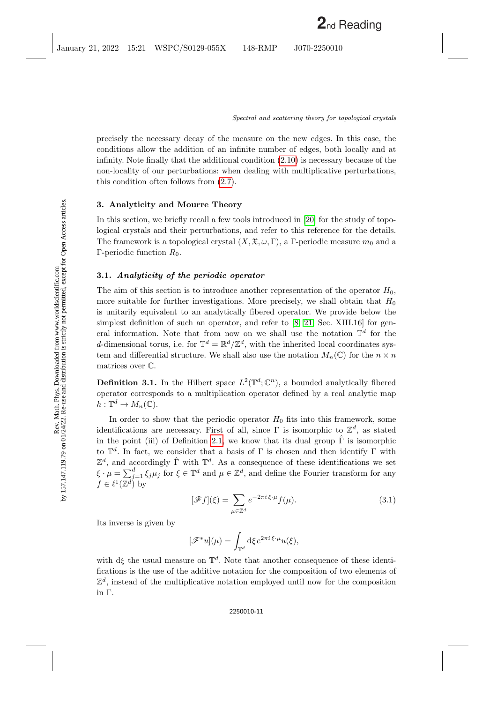precisely the necessary decay of the measure on the new edges. In this case, the conditions allow the addition of an infinite number of edges, both locally and at infinity. Note finally that the additional condition [\(2.10\)](#page-9-4) is necessary because of the non-locality of our perturbations: when dealing with multiplicative perturbations, this condition often follows from [\(2.7\)](#page-9-2).

### <span id="page-10-0"></span>3. Analyticity and Mourre Theory

In this section, we briefly recall a few tools introduced in [\[20\]](#page-25-1) for the study of topological crystals and their perturbations, and refer to this reference for the details. The framework is a topological crystal  $(X, \mathfrak{X}, \omega, \Gamma)$ , a Γ-periodic measure  $m_0$  and a Γ-periodic function  $R_0$ .

### 3.1. Analyticity of the periodic operator

The aim of this section is to introduce another representation of the operator  $H_0$ , more suitable for further investigations. More precisely, we shall obtain that  $H_0$ is unitarily equivalent to an analytically fibered operator. We provide below the simplest definition of such an operator, and refer to [\[8;](#page-25-21) [21,](#page-25-0) Sec. XIII.16] for general information. Note that from now on we shall use the notation  $\mathbb{T}^d$  for the d-dimensional torus, i.e. for  $\mathbb{T}^d = \mathbb{R}^d / \mathbb{Z}^d$ , with the inherited local coordinates system and differential structure. We shall also use the notation  $M_n(\mathbb{C})$  for the  $n \times n$ matrices over C.

**Definition 3.1.** In the Hilbert space  $L^2(\mathbb{T}^d; \mathbb{C}^n)$ , a bounded analytically fibered operator corresponds to a multiplication operator defined by a real analytic map  $h: \mathbb{T}^d \to M_n(\mathbb{C}).$ 

In order to show that the periodic operator  $H_0$  fits into this framework, some identifications are necessary. First of all, since  $\Gamma$  is isomorphic to  $\mathbb{Z}^d$ , as stated in the point (iii) of Definition [2.1,](#page-6-0) we know that its dual group  $\hat{\Gamma}$  is isomorphic to  $\mathbb{T}^d$ . In fact, we consider that a basis of  $\Gamma$  is chosen and then identify  $\Gamma$  with  $\mathbb{Z}^d$ , and accordingly  $\hat{\Gamma}$  with  $\mathbb{T}^d$ . As a consequence of these identifications we set  $\xi \cdot \mu = \sum_{j=1}^d \xi_j \mu_j$  for  $\xi \in \mathbb{T}^d$  and  $\mu \in \mathbb{Z}^d$ , and define the Fourier transform for any  $f \in \ell^1(\mathbb{Z}^d)$  by

<span id="page-10-1"></span>
$$
[\mathscr{F}f](\xi) = \sum_{\mu \in \mathbb{Z}^d} e^{-2\pi i \xi \cdot \mu} f(\mu). \tag{3.1}
$$

Its inverse is given by

$$
[\mathscr{F}^*u](\mu) = \int_{\mathbb{T}^d} d\xi \, e^{2\pi i \, \xi \cdot \mu} u(\xi),
$$

with  $d\xi$  the usual measure on  $\mathbb{T}^d$ . Note that another consequence of these identifications is the use of the additive notation for the composition of two elements of  $\mathbb{Z}^d$ , instead of the multiplicative notation employed until now for the composition in Γ.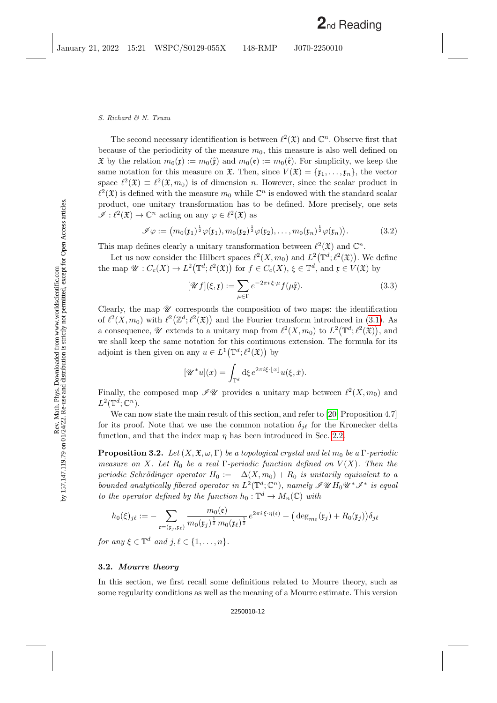The second necessary identification is between  $\ell^2(\mathfrak{X})$  and  $\mathbb{C}^n$ . Observe first that because of the periodicity of the measure  $m_0$ , this measure is also well defined on  $\mathfrak X$  by the relation  $m_0(\mathfrak x) := m_0(\hat{\mathfrak x})$  and  $m_0(\mathfrak e) := m_0(\hat{\mathfrak e})$ . For simplicity, we keep the same notation for this measure on  $\mathfrak{X}$ . Then, since  $V(\mathfrak{X}) = {\mathfrak{x}_1, \ldots, \mathfrak{x}_n}$ , the vector space  $\ell^2(\mathfrak{X}) \equiv \ell^2(\mathfrak{X}, m_0)$  is of dimension n. However, since the scalar product in  $\ell^2(\mathfrak{X})$  is defined with the measure  $m_0$  while  $\mathbb{C}^n$  is endowed with the standard scalar product, one unitary transformation has to be defined. More precisely, one sets  $\mathscr{I}: \ell^2(\mathfrak{X}) \to \mathbb{C}^n$  acting on any  $\varphi \in \ell^2(\mathfrak{X})$  as

<span id="page-11-1"></span>
$$
\mathscr{I}\varphi := \big(m_0(\mathfrak{x}_1)^{\frac{1}{2}}\varphi(\mathfrak{x}_1), m_0(\mathfrak{x}_2)^{\frac{1}{2}}\varphi(\mathfrak{x}_2), \dots, m_0(\mathfrak{x}_n)^{\frac{1}{2}}\varphi(\mathfrak{x}_n)\big).
$$
(3.2)

This map defines clearly a unitary transformation between  $\ell^2(\mathfrak{X})$  and  $\mathbb{C}^n$ .

Let us now consider the Hilbert spaces  $\ell^2(X, m_0)$  and  $L^2(\mathbb{T}^d; \ell^2(\mathfrak{X}))$ . We define the map  $\mathscr{U}: C_c(X) \to L^2(\mathbb{T}^d; \ell^2(\mathfrak{X}))$  for  $f \in C_c(X)$ ,  $\xi \in \mathbb{T}^d$ , and  $\mathfrak{x} \in V(\mathfrak{X})$  by

<span id="page-11-2"></span>
$$
[\mathscr{U}f](\xi,\mathfrak{x}) := \sum_{\mu \in \Gamma} e^{-2\pi i \xi \cdot \mu} f(\mu \hat{\mathfrak{x}}). \tag{3.3}
$$

Clearly, the map  $\mathscr U$  corresponds the composition of two maps: the identification of  $\ell^2(X, m_0)$  with  $\ell^2(\mathbb{Z}^d; \ell^2(\mathfrak{X}))$  and the Fourier transform introduced in [\(3.1\)](#page-10-1). As a consequence,  $\mathscr U$  extends to a unitary map from  $\ell^2(X, m_0)$  to  $L^2(\mathbb T^d; \ell^2(\mathfrak X))$ , and we shall keep the same notation for this continuous extension. The formula for its adjoint is then given on any  $u \in L^1(\mathbb{T}^d; \ell^2(\mathfrak{X}))$  by

$$
[\mathscr{U}^*u](x) = \int_{\mathbb{T}^d} d\xi \, e^{2\pi i \xi \cdot \lfloor x \rfloor} u(\xi, \check{x}).
$$

Finally, the composed map  $\mathscr{I}\mathscr{U}$  provides a unitary map between  $\ell^2(X, m_0)$  and  $L^2(\mathbb{T}^d; \mathbb{C}^n)$ .

We can now state the main result of this section, and refer to [\[20,](#page-25-1) Proposition 4.7] for its proof. Note that we use the common notation  $\delta_{i\ell}$  for the Kronecker delta function, and that the index map  $\eta$  has been introduced in Sec. [2.2.](#page-5-2)

<span id="page-11-0"></span>**Proposition 3.2.** Let  $(X, \mathfrak{X}, \omega, \Gamma)$  be a topological crystal and let  $m_0$  be a  $\Gamma$ -periodic measure on X. Let  $R_0$  be a real Γ-periodic function defined on  $V(X)$ . Then the periodic Schrödinger operator  $H_0 := -\Delta(X, m_0) + R_0$  is unitarily equivalent to a bounded analytically fibered operator in  $L^2(\mathbb{T}^d; \mathbb{C}^n)$ , namely  $\mathscr{I}\mathscr{U}H_0\mathscr{U}^*\mathscr{I}^*$  is equal to the operator defined by the function  $h_0: \mathbb{T}^d \to M_n(\mathbb{C})$  with

$$
h_0(\xi)_{j\ell}:=-\sum_{{\mathfrak{e}}=(\mathfrak{x}_j,\mathfrak{x}_\ell)}\frac{m_0({\mathfrak{e}})}{m_0(\mathfrak{x}_j)^{\frac{1}{2}}m_0(\mathfrak{x}_\ell)^{\frac{1}{2}}}e^{2\pi i\,\xi\cdot\eta({\mathfrak{e}})}+\big(\deg_{m_0}(\mathfrak{x}_j)+R_0(\mathfrak{x}_j)\big)\delta_j\ell
$$

for any  $\xi \in \mathbb{T}^d$  and  $j, \ell \in \{1, \ldots, n\}.$ 

#### <span id="page-11-3"></span>3.2. Mourre theory

In this section, we first recall some definitions related to Mourre theory, such as some regularity conditions as well as the meaning of a Mourre estimate. This version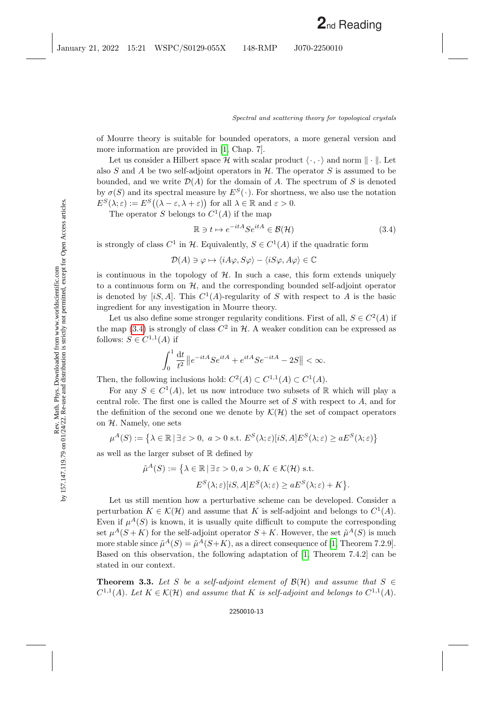of Mourre theory is suitable for bounded operators, a more general version and more information are provided in [\[1,](#page-24-3) Chap. 7].

Let us consider a Hilbert space H with scalar product  $\langle \cdot, \cdot \rangle$  and norm  $\|\cdot\|$ . Let also  $S$  and  $A$  be two self-adjoint operators in  $H$ . The operator  $S$  is assumed to be bounded, and we write  $\mathcal{D}(A)$  for the domain of A. The spectrum of S is denoted by  $\sigma(S)$  and its spectral measure by  $E^{S}(\cdot)$ . For shortness, we also use the notation  $E^{S}(\lambda;\varepsilon) := E^{S}((\lambda-\varepsilon,\lambda+\varepsilon))$  for all  $\lambda \in \mathbb{R}$  and  $\varepsilon > 0$ .

The operator S belongs to  $C^1(A)$  if the map

<span id="page-12-0"></span>
$$
\mathbb{R} \ni t \mapsto e^{-itA} S e^{itA} \in \mathcal{B}(\mathcal{H}) \tag{3.4}
$$

is strongly of class  $C^1$  in H. Equivalently,  $S \in C^1(A)$  if the quadratic form

$$
\mathcal{D}(A) \ni \varphi \mapsto \langle iA\varphi, S\varphi \rangle - \langle iS\varphi, A\varphi \rangle \in \mathbb{C}
$$

is continuous in the topology of  $H$ . In such a case, this form extends uniquely to a continuous form on  $H$ , and the corresponding bounded self-adjoint operator is denoted by  $[iS, A]$ . This  $C^1(A)$ -regularity of S with respect to A is the basic ingredient for any investigation in Mourre theory.

Let us also define some stronger regularity conditions. First of all,  $S \in C^2(A)$  if the map [\(3.4\)](#page-12-0) is strongly of class  $C^2$  in H. A weaker condition can be expressed as follows:  $S \in C^{1,1}(A)$  if

$$
\int_0^1 \frac{\mathrm{d}t}{t^2} \left\| e^{-itA} S e^{itA} + e^{itA} S e^{-itA} - 2S \right\| < \infty.
$$

Then, the following inclusions hold:  $C^2(A) \subset C^{1,1}(A) \subset C^1(A)$ .

For any  $S \in C^1(A)$ , let us now introduce two subsets of R which will play a central role. The first one is called the Mourre set of S with respect to A, and for the definition of the second one we denote by  $\mathcal{K}(\mathcal{H})$  the set of compact operators on  $H$ . Namely, one sets

$$
\mu^{A}(S) := \left\{ \lambda \in \mathbb{R} \, | \, \exists \, \varepsilon > 0, \ a > 0 \text{ s.t. } E^{S}(\lambda; \varepsilon) [iS, A] E^{S}(\lambda; \varepsilon) \ge a E^{S}(\lambda; \varepsilon) \right\}
$$

as well as the larger subset of R defined by

$$
\tilde{\mu}^A(S) := \left\{ \lambda \in \mathbb{R} \, | \, \exists \, \varepsilon > 0, a > 0, K \in \mathcal{K}(\mathcal{H}) \text{ s.t.} \right\}
$$
\n
$$
E^S(\lambda; \varepsilon)[iS, A]E^S(\lambda; \varepsilon) \ge aE^S(\lambda; \varepsilon) + K \right\}.
$$

Let us still mention how a perturbative scheme can be developed. Consider a perturbation  $K \in \mathcal{K}(\mathcal{H})$  and assume that K is self-adjoint and belongs to  $C^1(A)$ . Even if  $\mu^{A}(S)$  is known, it is usually quite difficult to compute the corresponding set  $\mu^{A}(S + K)$  for the self-adjoint operator  $S + K$ . However, the set  $\tilde{\mu}^{A}(S)$  is much more stable since  $\tilde{\mu}^A(S) = \tilde{\mu}^A(S+K)$ , as a direct consequence of [\[1,](#page-24-3) Theorem 7.2.9]. Based on this observation, the following adaptation of [\[1,](#page-24-3) Theorem 7.4.2] can be stated in our context.

<span id="page-12-1"></span>**Theorem 3.3.** Let S be a self-adjoint element of  $\mathcal{B}(\mathcal{H})$  and assume that  $S \in$  $C^{1,1}(A)$ . Let  $K \in \mathcal{K}(\mathcal{H})$  and assume that K is self-adjoint and belongs to  $C^{1,1}(A)$ .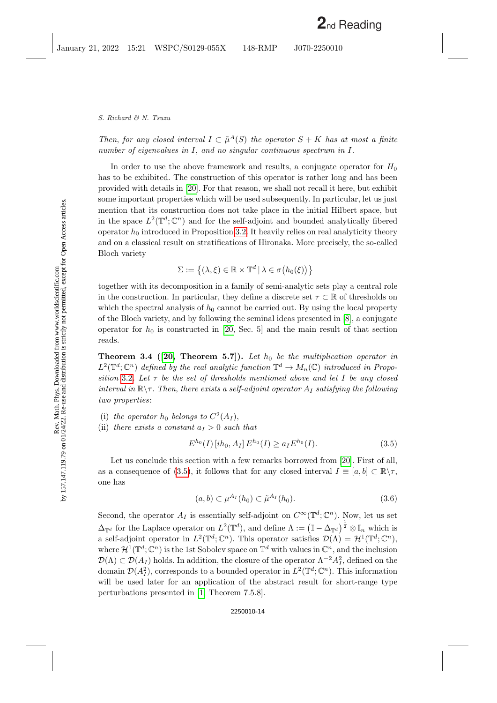Then, for any closed interval  $I \subset \tilde{\mu}^A(S)$  the operator  $S + K$  has at most a finite number of eigenvalues in I, and no singular continuous spectrum in I.

In order to use the above framework and results, a conjugate operator for  $H_0$ has to be exhibited. The construction of this operator is rather long and has been provided with details in [\[20\]](#page-25-1). For that reason, we shall not recall it here, but exhibit some important properties which will be used subsequently. In particular, let us just mention that its construction does not take place in the initial Hilbert space, but in the space  $L^2(\mathbb{T}^d; \mathbb{C}^n)$  and for the self-adjoint and bounded analytically fibered operator  $h_0$  introduced in Proposition [3.2.](#page-11-0) It heavily relies on real analyticity theory and on a classical result on stratifications of Hironaka. More precisely, the so-called Bloch variety

$$
\Sigma := \left\{ (\lambda, \xi) \in \mathbb{R} \times \mathbb{T}^d \, | \, \lambda \in \sigma(h_0(\xi)) \right\}
$$

together with its decomposition in a family of semi-analytic sets play a central role in the construction. In particular, they define a discrete set  $\tau \subset \mathbb{R}$  of thresholds on which the spectral analysis of  $h_0$  cannot be carried out. By using the local property of the Bloch variety, and by following the seminal ideas presented in [\[8\]](#page-25-21), a conjugate operator for  $h_0$  is constructed in [\[20,](#page-25-1) Sec. 5] and the main result of that section reads.

<span id="page-13-1"></span>**Theorem 3.4** ([\[20,](#page-25-1) Theorem 5.7]). Let  $h_0$  be the multiplication operator in  $L^2(\mathbb{T}^d; \mathbb{C}^n)$  defined by the real analytic function  $\mathbb{T}^d \to M_n(\mathbb{C})$  introduced in Propo-sition [3.2](#page-11-0). Let  $\tau$  be the set of thresholds mentioned above and let I be any closed interval in  $\mathbb{R}\setminus\tau$ . Then, there exists a self-adjoint operator  $A_I$  satisfying the following two properties:

- (i) the operator  $h_0$  belongs to  $C^2(A_I)$ ,
- (ii) there exists a constant  $a_I > 0$  such that

<span id="page-13-0"></span>
$$
E^{h_0}(I) [ih_0, A_I] E^{h_0}(I) \ge a_I E^{h_0}(I). \tag{3.5}
$$

Let us conclude this section with a few remarks borrowed from [\[20\]](#page-25-1). First of all, as a consequence of [\(3.5\)](#page-13-0), it follows that for any closed interval  $I \equiv [a, b] \subset \mathbb{R} \setminus \tau$ , one has

<span id="page-13-2"></span>
$$
(a,b) \subset \mu^{A_I}(h_0) \subset \tilde{\mu}^{A_I}(h_0). \tag{3.6}
$$

Second, the operator  $A_I$  is essentially self-adjoint on  $C^{\infty}(\mathbb{T}^d; \mathbb{C}^n)$ . Now, let us set  $\Delta_{\mathbb{T}^d}$  for the Laplace operator on  $L^2(\mathbb{T}^d)$ , and define  $\Lambda := (\mathbb{I} - \Delta_{\mathbb{T}^d})^{\frac{1}{2}} \otimes \mathbb{I}_n$  which is a self-adjoint operator in  $L^2(\mathbb{T}^d;\mathbb{C}^n)$ . This operator satisfies  $\mathcal{D}(\Lambda) = \mathcal{H}^1(\mathbb{T}^d;\mathbb{C}^n)$ , where  $\mathcal{H}^1(\mathbb{T}^d; \mathbb{C}^n)$  is the 1st Sobolev space on  $\mathbb{T}^d$  with values in  $\mathbb{C}^n$ , and the inclusion  $\mathcal{D}(\Lambda) \subset \mathcal{D}(A_I)$  holds. In addition, the closure of the operator  $\Lambda^{-2} A_I^2$ , defined on the domain  $\mathcal{D}(A_I^2)$ , corresponds to a bounded operator in  $L^2(\mathbb{T}^d; \mathbb{C}^n)$ . This information will be used later for an application of the abstract result for short-range type perturbations presented in [\[1,](#page-24-3) Theorem 7.5.8].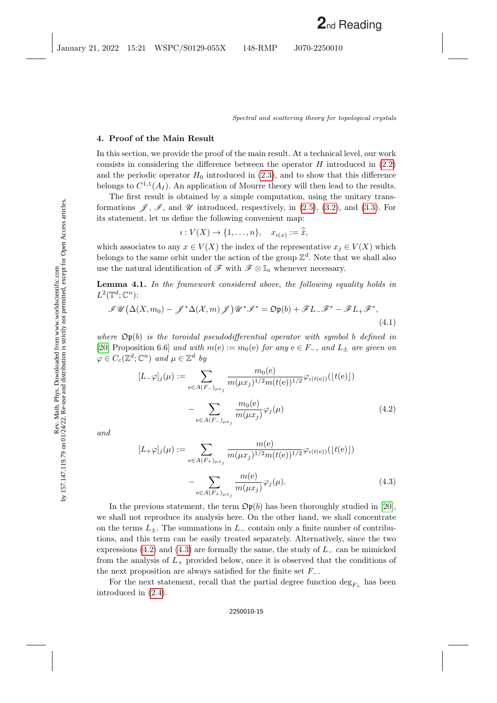## <span id="page-14-0"></span>4. Proof of the Main Result

In this section, we provide the proof of the main result. At a technical level, our work consists in considering the difference between the operator  $H$  introduced in  $(2.2)$ and the periodic operator  $H_0$  introduced in [\(2.3\)](#page-7-0), and to show that this difference belongs to  $C^{1,1}(A_I)$ . An application of Mourre theory will then lead to the results.

The first result is obtained by a simple computation, using the unitary transformations  $\mathscr{J}, \mathscr{I},$  and  $\mathscr{U}$  introduced, respectively, in [\(2.5\)](#page-8-0), [\(3.2\)](#page-11-1), and [\(3.3\)](#page-11-2). For its statement, let us define the following convenient map:

$$
i: V(X) \to \{1,\ldots,n\}, \quad x_{i(x)} := \check{x},
$$

which associates to any  $x \in V(X)$  the index of the representative  $x_j \in V(X)$  which belongs to the same orbit under the action of the group  $\mathbb{Z}^d$ . Note that we shall also use the natural identification of  $\mathscr{F}$  with  $\mathscr{F} \otimes \mathbb{I}_n$  whenever necessary.

<span id="page-14-3"></span>Lemma 4.1. In the framework considered above, the following equality holds in  $L^2(\mathbb{T}^d; \mathbb{C}^n)$ :

<span id="page-14-4"></span>
$$
\mathcal{J}\mathcal{U}\left(\Delta(X,m_0)-\mathcal{J}^*\Delta(X,m)\mathcal{J}\right)\mathcal{U}^*\mathcal{J}^*=\mathfrak{O}(\mathfrak{b})+\mathcal{F}L_-\mathcal{F}^*-\mathcal{F}L_+\mathcal{F}^*,\tag{4.1}
$$

where  $\mathfrak{Op}(b)$  is the toroidal pseudodifferential operator with symbol b defined in [\[20,](#page-25-1) Proposition 6.6] and with  $m(e) := m_0(e)$  for any  $e \in F_-,$  and  $L_{\pm}$  are given on  $\varphi \in C_c(\mathbb{Z}^d; \mathbb{C}^n)$  and  $\mu \in \mathbb{Z}^d$  by

<span id="page-14-1"></span>
$$
[L_{-}\varphi]_j(\mu) := \sum_{e \in A(F_{-})_{\mu x_j}} \frac{m_0(e)}{m(\mu x_j)^{1/2} m(t(e))^{1/2}} \varphi_{\iota(t(e))}(\lfloor t(e) \rfloor)
$$

$$
- \sum_{e \in A(F_{-})_{\mu x_j}} \frac{m_0(e)}{m(\mu x_j)} \varphi_j(\mu)
$$
(4.2)

and

<span id="page-14-2"></span>
$$
[L_{+}\varphi]_{j}(\mu) := \sum_{e \in A(F_{+})_{\mu x_{j}}} \frac{m(e)}{m(\mu x_{j})^{1/2} m(t(e))^{1/2}} \varphi_{\iota(t(e))}([t(e)])
$$

$$
- \sum_{e \in A(F_{+})_{\mu x_{j}}} \frac{m(e)}{m(\mu x_{j})} \varphi_{j}(\mu).
$$
(4.3)

In the previous statement, the term  $\mathfrak{Op}(b)$  has been thoroughly studied in [\[20\]](#page-25-1), we shall not reproduce its analysis here. On the other hand, we shall concentrate on the terms  $L_{+}$ . The summations in  $L_{-}$  contain only a finite number of contributions, and this term can be easily treated separately. Alternatively, since the two expressions [\(4.2\)](#page-14-1) and [\(4.3\)](#page-14-2) are formally the same, the study of  $L_-\$ can be mimicked from the analysis of  $L_{+}$  provided below, once it is observed that the conditions of the next proposition are always satisfied for the finite set  $F_-\$ .

For the next statement, recall that the partial degree function  $\deg_{F_+}$  has been introduced in [\(2.4\)](#page-8-1).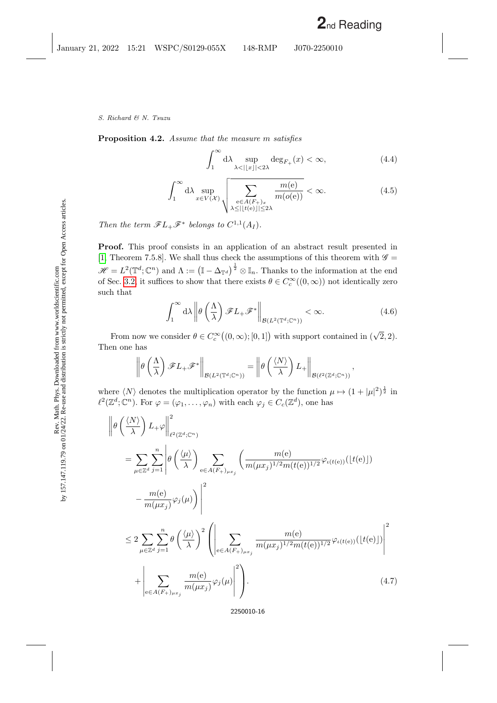<span id="page-15-3"></span>Proposition 4.2. Assume that the measure m satisfies

<span id="page-15-2"></span>
$$
\int_{1}^{\infty} d\lambda \sup_{\lambda < ||x|| < 2\lambda} \deg_{F_+}(x) < \infty,
$$
\n(4.4)

$$
\int_{1}^{\infty} d\lambda \sup_{x \in V(\mathcal{X})} \sqrt{\sum_{\substack{e \in A(F_+)_x \\ \lambda \le ||t(e)|| \le 2\lambda}} \frac{m(e)}{m(o(e))}} < \infty.
$$
 (4.5)

Then the term  $\mathscr{F}L_+\mathscr{F}^*$  belongs to  $C^{1,1}(A_I)$ .

 $\overline{2}$ 

Proof. This proof consists in an application of an abstract result presented in [\[1,](#page-24-3) Theorem 7.5.8]. We shall thus check the assumptions of this theorem with  $\mathscr{G}$  =  $\mathscr{H} = L^2(\mathbb{T}^d; \mathbb{C}^n)$  and  $\Lambda := (\mathbb{I} - \Delta_{\mathbb{T}^d})^{\frac{1}{2}} \otimes \mathbb{I}_n$ . Thanks to the information at the end of Sec. [3.2,](#page-11-3) it suffices to show that there exists  $\theta \in C_c^{\infty}((0,\infty))$  not identically zero such that

<span id="page-15-1"></span>
$$
\int_{1}^{\infty} d\lambda \left\| \theta \left( \frac{\Lambda}{\lambda} \right) \mathscr{F}L_{+} \mathscr{F}^* \right\|_{\mathcal{B}(L^{2}(\mathbb{T}^d; \mathbb{C}^n))} < \infty.
$$
 (4.6)

,

From now we consider  $\theta \in C_c^{\infty}((0,\infty);[0,1])$  with support contained in  $(\sqrt{2},2)$ . Then one has

$$
\left\|\theta\left(\frac{\Lambda}{\lambda}\right)\mathscr{F}L_+\mathscr{F}^*\right\|_{\mathcal{B}(L^2(\mathbb{T}^d;\mathbb{C}^n))}=\left\|\theta\left(\frac{\langle N\rangle}{\lambda}\right)L_+\right\|_{\mathcal{B}(\ell^2(\mathbb{Z}^d;\mathbb{C}^n))}
$$

where  $\langle N \rangle$  denotes the multiplication operator by the function  $\mu \mapsto (1 + |\mu|^2)^{\frac{1}{2}}$  in  $\ell^2(\mathbb{Z}^d; \mathbb{C}^n)$ . For  $\varphi = (\varphi_1, \ldots, \varphi_n)$  with each  $\varphi_j \in C_c(\mathbb{Z}^d)$ , one has

<span id="page-15-0"></span>
$$
\begin{split}\n&\left\|\theta\left(\frac{\langle N\rangle}{\lambda}\right)L_{+}\varphi\right\|_{\ell^{2}(\mathbb{Z}^{d};\mathbb{C}^{n})}^{2} \\
&= \sum_{\mu\in\mathbb{Z}^{d}}\sum_{j=1}^{n}\left|\theta\left(\frac{\langle\mu\rangle}{\lambda}\right)\sum_{e\in A(F_{+})_{\mu x_{j}}}\left(\frac{m(e)}{m(\mu x_{j})^{1/2}m(t(e))^{1/2}}\varphi_{\iota(t(e))}(\lfloor t(e)\rfloor) - \frac{m(e)}{m(\mu x_{j})}\varphi_{j}(\mu)\right)\right|^{2} \\
&\leq 2\sum_{\mu\in\mathbb{Z}^{d}}\sum_{j=1}^{n}\theta\left(\frac{\langle\mu\rangle}{\lambda}\right)^{2}\left(\left|\sum_{e\in A(F_{+})_{\mu x_{j}}}\frac{m(e)}{m(\mu x_{j})^{1/2}m(t(e))^{1/2}}\varphi_{\iota(t(e))}(\lfloor t(e)\rfloor)\right|^{2} + \left|\sum_{e\in A(F_{+})_{\mu x_{j}}}\frac{m(e)}{m(\mu x_{j})}\varphi_{j}(\mu)\right|^{2}\right). \n\end{split} \tag{4.7}
$$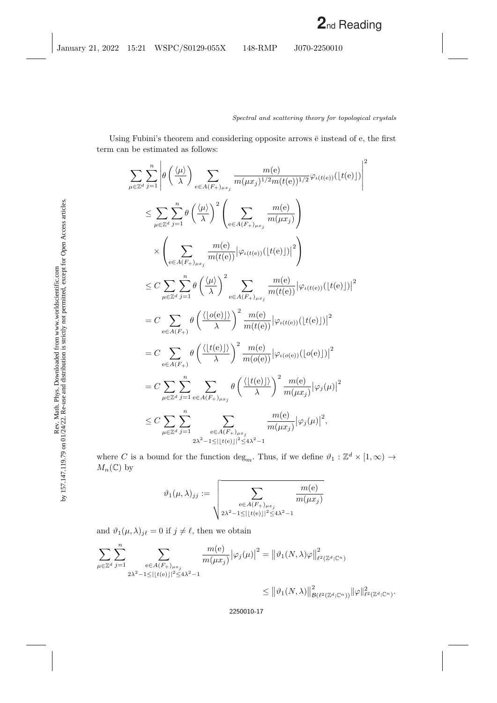Using Fubini's theorem and considering opposite arrows  $\bar{e}$  instead of e, the first term can be estimated as follows:

$$
\sum_{\mu \in \mathbb{Z}^d} \sum_{j=1}^n \left| \theta \left( \frac{\langle \mu \rangle}{\lambda} \right) \sum_{e \in A(F_+)_{\mu x_j}} \frac{m(e)}{m(\mu x_j)^{1/2} m(t(e))^{1/2}} \varphi_{\iota(t(e))}(\lfloor t(e) \rfloor) \right|^2
$$
\n
$$
\leq \sum_{\mu \in \mathbb{Z}^d} \sum_{j=1}^n \theta \left( \frac{\langle \mu \rangle}{\lambda} \right)^2 \left( \sum_{e \in A(F_+)_{\mu x_j}} \frac{m(e)}{m(\mu x_j)} \right)
$$
\n
$$
\times \left( \sum_{e \in A(F_+)_{\mu x_j}} \frac{m(e)}{m(t(e))} |\varphi_{\iota(t(e))}(\lfloor t(e) \rfloor)|^2 \right)
$$
\n
$$
\leq C \sum_{\mu \in \mathbb{Z}^d} \sum_{j=1}^n \theta \left( \frac{\langle \mu \rangle}{\lambda} \right)^2 \sum_{e \in A(F_+)_{\mu x_j}} \frac{m(e)}{m(t(e))} |\varphi_{\iota(t(e))}(\lfloor t(e) \rfloor)|^2
$$
\n
$$
= C \sum_{e \in A(F_+)} \theta \left( \frac{\langle |\iota(e)| \rangle}{\lambda} \right)^2 \frac{m(e)}{m(t(e))} |\varphi_{\iota(t(e))}(\lfloor t(e) \rfloor)|^2
$$
\n
$$
= C \sum_{e \in A(F_+)} \theta \left( \frac{\langle |\iota(e)| \rangle}{\lambda} \right)^2 \frac{m(e)}{m(o(e))} |\varphi_{\iota(o(e))}(\lfloor o(e) \rfloor)|^2
$$
\n
$$
= C \sum_{\mu \in \mathbb{Z}^d} \sum_{j=1}^n \sum_{e \in A(F_+)_{\mu x_j}} \theta \left( \frac{\langle |\iota(e)| \rangle}{\lambda} \right)^2 \frac{m(e)}{m(\mu x_j)} |\varphi_j(\mu)|^2
$$
\n
$$
\leq C \sum_{\mu \in \mathbb{Z}^d} \sum_{j=1}^n \sum_{e \in A(F_+)_{\mu x_j}} \frac{m(e)}{m(\mu x_j)} |\varphi_j(\mu)|^2,
$$

where C is a bound for the function  $\deg_m$ . Thus, if we define  $\vartheta_1 : \mathbb{Z}^d \times [1, \infty) \to$  $M_n(\mathbb{C})$  by

$$
\vartheta_1(\mu,\lambda)_{jj} := \sqrt{\sum_{\substack{\mathbf{e} \in A(F_+)_{\mu x_j} \\ 2\lambda^2 - 1 \leq |\lfloor t(\mathbf{e}) \rfloor|^2 \leq 4\lambda^2 - 1}} \frac{m(\mathbf{e})}{m(\mu x_j)}
$$

and  $\vartheta_1(\mu, \lambda)_{j\ell} = 0$  if  $j \neq \ell$ , then we obtain

$$
\sum_{\mu \in \mathbb{Z}^d} \sum_{j=1}^n \sum_{\substack{e \in A(F_+)_{\mu x_j} \\ 2\lambda^2 - 1 \leq ||t(e)||^2 \leq 4\lambda^2 - 1}} \frac{m(e)}{m(\mu x_j)} |\varphi_j(\mu)|^2 = ||\vartheta_1(N, \lambda)\varphi||^2_{\ell^2(\mathbb{Z}^d; \mathbb{C}^n)}
$$
  

$$
\leq ||\vartheta_1(N, \lambda)||^2_{\mathcal{B}(\ell^2(\mathbb{Z}^d; \mathbb{C}^n))} ||\varphi||^2_{\ell^2(\mathbb{Z}^d; \mathbb{C}^n)}.
$$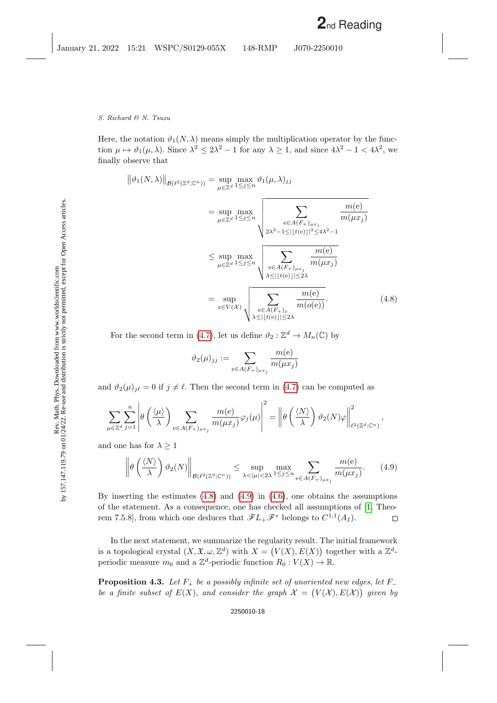Here, the notation  $\vartheta_1(N,\lambda)$  means simply the multiplication operator by the function  $\mu \mapsto \vartheta_1(\mu, \lambda)$ . Since  $\lambda^2 \le 2\lambda^2 - 1$  for any  $\lambda \ge 1$ , and since  $4\lambda^2 - 1 < 4\lambda^2$ , we finally observe that

<span id="page-17-0"></span>
$$
\|\vartheta_1(N,\lambda)\|_{\mathcal{B}(\ell^2(\mathbb{Z}^d;\mathbb{C}^n))} = \sup_{\mu \in \mathbb{Z}^d} \max_{1 \le j \le n} \vartheta_1(\mu,\lambda)_{jj}
$$
  
\n
$$
= \sup_{\mu \in \mathbb{Z}^d} \max_{1 \le j \le n} \sqrt{\sum_{e \in A(F_+)_{\mu x_j}} \frac{m(e)}{m(\mu x_j)}}
$$
  
\n
$$
\le \sup_{\mu \in \mathbb{Z}^d} \max_{1 \le j \le n} \sqrt{\sum_{e \in A(F_+)_{\mu x_j}} \frac{m(e)}{m(\mu x_j)}}
$$
  
\n
$$
= \sup_{x \in V(\mathcal{X})} \sqrt{\sum_{e \in A(F_+)_{x}} \frac{m(e)}{m(\mu x_j)}}
$$
  
\n
$$
= \sup_{x \in V(\mathcal{X})} \sqrt{\sum_{e \in A(F_+)_{x}} \frac{m(e)}{m(o(e))}}.
$$
 (4.8)

For the second term in [\(4.7\)](#page-15-0), let us define  $\vartheta_2 : \mathbb{Z}^d \to M_n(\mathbb{C})$  by

$$
\vartheta_2(\mu)_{jj} := \sum_{e \in A(F_+)_{\mu x_j}} \frac{m(e)}{m(\mu x_j)}
$$

and  $\vartheta_2(\mu)_{j\ell} = 0$  if  $j \neq \ell$ . Then the second term in [\(4.7\)](#page-15-0) can be computed as

$$
\sum_{\mu \in \mathbb{Z}^d} \sum_{j=1}^n \left| \theta \left( \frac{\langle \mu \rangle}{\lambda} \right) \sum_{e \in A(F_+)_{\mu x_j}} \frac{m(e)}{m(\mu x_j)} \varphi_j(\mu) \right|^2 = \left\| \theta \left( \frac{\langle N \rangle}{\lambda} \right) \vartheta_2(N) \varphi \right\|_{\ell^2(\mathbb{Z}^d; \mathbb{C}^n)}^2,
$$

and one has for  $\lambda \geq 1$ 

<span id="page-17-1"></span>
$$
\left\|\theta\left(\frac{\langle N\rangle}{\lambda}\right)\vartheta_2(N)\right\|_{\mathcal{B}(\ell^2(\mathbb{Z}^d;\mathbb{C}^n))} \leq \sup_{\lambda < |\mu| < 2\lambda} \max_{1 \leq j \leq n} \sum_{e \in A(F_+)_{\mu x_j}} \frac{m(e)}{m(\mu x_j)}.\tag{4.9}
$$

By inserting the estimates [\(4.8\)](#page-17-0) and [\(4.9\)](#page-17-1) in [\(4.6\)](#page-15-1), one obtains the assumptions of the statement. As a consequence, one has checked all assumptions of [\[1,](#page-24-3) Theorem 7.5.8], from which one deduces that  $\mathscr{F}L_+\mathscr{F}^*$  belongs to  $C^{1,1}(A_I)$ .  $\Box$ 

In the next statement, we summarize the regularity result. The initial framework is a topological crystal  $(X, \mathfrak{X}, \omega, \mathbb{Z}^d)$  with  $X = (V(X), E(X))$  together with a  $\mathbb{Z}^d$ periodic measure  $m_0$  and a  $\mathbb{Z}^d$ -periodic function  $R_0: V(X) \to \mathbb{R}$ .

<span id="page-17-2"></span>**Proposition 4.3.** Let  $F_+$  be a possibly infinite set of unoriented new edges, let  $F_$ be a finite subset of  $E(X)$ , and consider the graph  $\mathcal{X} = (V(\mathcal{X}), E(\mathcal{X}))$  given by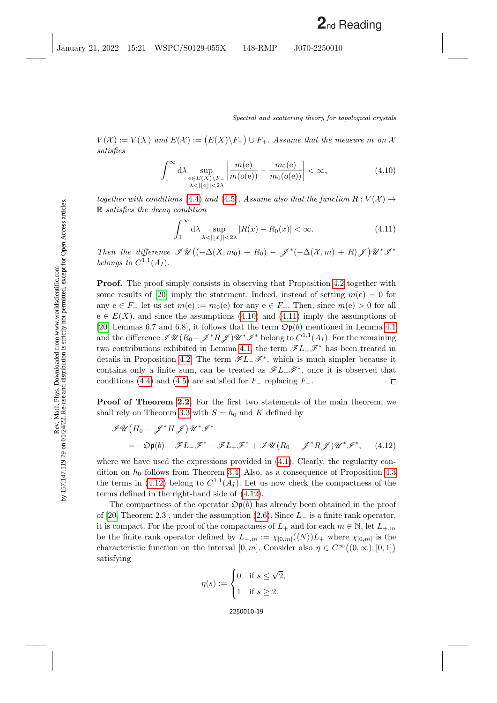$V(X) := V(X)$  and  $E(X) := (E(X) \backslash F) \cup F_+$ . Assume that the measure m on X satisfies

<span id="page-18-0"></span>
$$
\int_{1}^{\infty} d\lambda \sup_{\substack{e \in E(X) \setminus F_{-} \\ \lambda < ||e|| < 2\lambda}} \left| \frac{m(e)}{m(o(e))} - \frac{m_0(e)}{m_0(o(e))} \right| < \infty,\tag{4.10}
$$

together with conditions [\(4.4\)](#page-15-2) and [\(4.5\)](#page-15-2). Assume also that the function  $R: V(\mathcal{X}) \to$ R satisfies the decay condition

<span id="page-18-1"></span>
$$
\int_{1}^{\infty} d\lambda \sup_{\lambda < |x| < 2\lambda} |R(x) - R_0(x)| < \infty.
$$
 (4.11)

Then the difference  $\mathscr{I}\mathscr{U}\big((-\Delta(X,m_0)+R_0)-\mathscr{J}^*(-\Delta(X,m)+R)\mathscr{J}\big)\mathscr{U}^*\mathscr{I}^*$ belongs to  $C^{1,1}(A_I)$ .

**Proof.** The proof simply consists in observing that Proposition [4.2](#page-15-3) together with some results of [\[20\]](#page-25-1) imply the statement. Indeed, instead of setting  $m(e) = 0$  for any  $e \in F_-\neq 0$  let us set  $m(e) := m_0(e)$  for any  $e \in F_-\neq 0$ . Then, since  $m(e) > 0$  for all  $e \in E(X)$ , and since the assumptions [\(4.10\)](#page-18-0) and [\(4.11\)](#page-18-1) imply the assumptions of [\[20,](#page-25-1) Lemmas 6.7 and 6.8], it follows that the term  $\mathfrak{Op}(b)$  mentioned in Lemma [4.1](#page-14-3) and the difference  $\mathscr{IU}(R_0-\mathscr{J}^*R\mathscr{J})\mathscr{U}^*\mathscr{I}^*$  belong to  $C^{1,1}(A_I)$ . For the remaining two contributions exhibited in Lemma [4.1,](#page-14-3) the term  $\mathscr{F}L_+\mathscr{F}^*$  has been treated in details in Proposition [4.2.](#page-15-3) The term  $\mathscr{F}L_-\mathscr{F}^*$ , which is much simpler because it contains only a finite sum, can be treated as  $\mathscr{F}L_+\mathscr{F}^*$ , once it is observed that conditions [\(4.4\)](#page-15-2) and [\(4.5\)](#page-15-2) are satisfied for  $F_-\$  replacing  $F_+\$ .  $\Box$ 

**Proof of Theorem [2.2.](#page-8-2)** For the first two statements of the main theorem, we shall rely on Theorem [3.3](#page-12-1) with  $S = h_0$  and K defined by

<span id="page-18-2"></span>
$$
\mathcal{I}\mathcal{U}(H_0 - \mathcal{J}^*H\mathcal{J})\mathcal{U}^*\mathcal{I}^*
$$
  
= -D $\mathfrak{p}(b) - \mathcal{F}L_-\mathcal{F}^* + \mathcal{F}L_+\mathcal{F}^* + \mathcal{I}\mathcal{U}(R_0 - \mathcal{J}^*R\mathcal{J})\mathcal{U}^*\mathcal{I}^*,$  (4.12)

where we have used the expressions provided in  $(4.1)$ . Clearly, the regularity condition on  $h_0$  follows from Theorem [3.4.](#page-13-1) Also, as a consequence of Proposition [4.3](#page-17-2) the terms in [\(4.12\)](#page-18-2) belong to  $C^{1,1}(A_I)$ . Let us now check the compactness of the terms defined in the right-hand side of [\(4.12\)](#page-18-2).

The compactness of the operator  $\mathfrak{Op}(b)$  has already been obtained in the proof of [\[20,](#page-25-1) Theorem 2.3], under the assumption [\(2.6\)](#page-9-0). Since  $L_$  is a finite rank operator, it is compact. For the proof of the compactness of  $L_+$  and for each  $m \in \mathbb{N}$ , let  $L_{+,m}$ be the finite rank operator defined by  $L_{+,m} := \chi_{[0,m]}(\langle N \rangle) L_{+}$  where  $\chi_{[0,m]}$  is the characteristic function on the interval  $[0, m]$ . Consider also  $\eta \in C^{\infty}((0, \infty); [0, 1])$ satisfying

$$
\eta(s) := \begin{cases} 0 & \text{if } s \leq \sqrt{2}, \\ 1 & \text{if } s \geq 2. \end{cases}
$$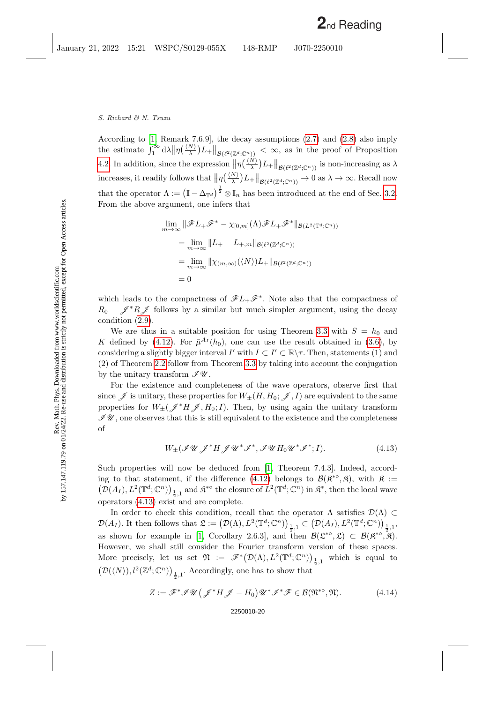According to [\[1,](#page-24-3) Remark 7.6.9], the decay assumptions [\(2.7\)](#page-9-2) and [\(2.8\)](#page-9-3) also imply the estimate  $\int_1^{\infty} d\lambda \|\eta(\frac{\langle N\rangle}{\lambda})L_{+}\|_{\mathcal{B}(\ell^2(\mathbb{Z}^d;\mathbb{C}^n))} < \infty$ , as in the proof of Proposition [4.2.](#page-15-3) In addition, since the expression  $\|\eta(\frac{\langle N\rangle}{\lambda})L_{+}\|_{\mathcal{B}(\ell^2(\mathbb{Z}^d;\mathbb{C}^n))}$  is non-increasing as  $\lambda$ increases, it readily follows that  $\|\eta\left(\frac{\langle N\rangle}{\lambda}\right)L_+\|_{\mathcal{B}(\ell^2(\mathbb{Z}^d;\mathbb{C}^n))}\to 0$  as  $\lambda\to\infty$ . Recall now that the operator  $\Lambda := (\mathbb{I} - \Delta_{\mathbb{T}^d})^{\frac{1}{2}} \otimes \mathbb{I}_n$  has been introduced at the end of Sec. [3.2.](#page-11-3) From the above argument, one infers that

$$
\lim_{m \to \infty} \|\mathscr{F}L_{+}\mathscr{F}^{*} - \chi_{[0,m]}(\Lambda)\mathscr{F}L_{+}\mathscr{F}^{*}\|_{\mathcal{B}(L^{2}(\mathbb{T}^{d};\mathbb{C}^{n}))}
$$
\n
$$
= \lim_{m \to \infty} \|L_{+} - L_{+,m}\|_{\mathcal{B}(\ell^{2}(\mathbb{Z}^{d};\mathbb{C}^{n}))}
$$
\n
$$
= \lim_{m \to \infty} \|\chi_{(m,\infty)}(\langle N \rangle)L_{+}\|_{\mathcal{B}(\ell^{2}(\mathbb{Z}^{d};\mathbb{C}^{n}))}
$$
\n
$$
= 0
$$

which leads to the compactness of  $\mathscr{F}L_+\mathscr{F}^*$ . Note also that the compactness of  $R_0 - \mathscr{J}^*R\mathscr{J}$  follows by a similar but much simpler argument, using the decay condition [\(2.9\)](#page-9-1).

We are thus in a suitable position for using Theorem [3.3](#page-12-1) with  $S = h_0$  and K defined by [\(4.12\)](#page-18-2). For  $\tilde{\mu}^{A_I}(h_0)$ , one can use the result obtained in [\(3.6\)](#page-13-2), by considering a slightly bigger interval  $I'$  with  $I \subset I' \subset \mathbb{R} \backslash \tau$ . Then, statements (1) and (2) of Theorem [2.2](#page-8-2) follow from Theorem [3.3](#page-12-1) by taking into account the conjugation by the unitary transform  $\mathscr{I}\mathscr{U}$ .

For the existence and completeness of the wave operators, observe first that since  $\mathscr J$  is unitary, these properties for  $W_{\pm}(H, H_0; \mathscr J, I)$  are equivalent to the same properties for  $W_{\pm}(\mathscr{J}^*H\mathscr{J},H_0;I)$ . Then, by using again the unitary transform  $\mathscr{I}\mathscr{U}$ , one observes that this is still equivalent to the existence and the completeness of

> <span id="page-19-0"></span> $W_{\pm}(\mathscr{IU} \mathscr{J}^* H \mathscr{J} \mathscr{U}^* \mathscr{I}^*, \mathscr{IU} H_0 \mathscr{U}^* \mathscr{I}^*$  $(4.13)$

Such properties will now be deduced from [\[1,](#page-24-3) Theorem 7.4.3]. Indeed, accord-ing to that statement, if the difference [\(4.12\)](#page-18-2) belongs to  $\mathcal{B}(\mathfrak{K}^{*0},\mathfrak{K})$ , with  $\mathfrak{K} :=$  $(\mathcal{D}(A_I), L^2(\mathbb{T}^d; \mathbb{C}^n))_{\frac{1}{2},1}$  and  $\mathfrak{K}^{*0}$  the closure of  $L^2(\mathbb{T}^d; \mathbb{C}^n)$  in  $\mathfrak{K}^*$ , then the local wave operators [\(4.13\)](#page-19-0) exist and are complete.

In order to check this condition, recall that the operator  $\Lambda$  satisfies  $\mathcal{D}(\Lambda) \subset$  $\mathcal{D}(A_I)$ . It then follows that  $\mathfrak{L} := (\mathcal{D}(\Lambda), L^2(\mathbb{T}^d; \mathbb{C}^n))_{\frac{1}{2},1} \subset (\mathcal{D}(A_I), L^2(\mathbb{T}^d; \mathbb{C}^n))_{\frac{1}{2},1}$ as shown for example in [\[1,](#page-24-3) Corollary 2.6.3], and then  $\mathcal{B}(\mathfrak{L}^{*o}, \mathfrak{L}) \subset \mathcal{B}(\mathfrak{K}^{*o}, \mathfrak{K})$ . However, we shall still consider the Fourier transform version of these spaces. More precisely, let us set  $\mathfrak{N} := \mathscr{F}^*(\mathcal{D}(\Lambda), L^2(\mathbb{T}^d; \mathbb{C}^n))_{\frac{1}{2},1}$  which is equal to  $\left(\mathcal{D}(\langle N\rangle),l^2(\mathbb{Z}^d;\mathbb{C}^n)\right)_{\frac{1}{2},1}.$  Accordingly, one has to show that

<span id="page-19-1"></span>
$$
Z := \mathscr{F}^* \mathscr{I} \mathscr{U} \big( \mathscr{J}^* H \mathscr{J} - H_0 \big) \mathscr{U}^* \mathscr{I}^* \mathscr{F} \in \mathcal{B}(\mathfrak{N}^{* \circ}, \mathfrak{N}). \tag{4.14}
$$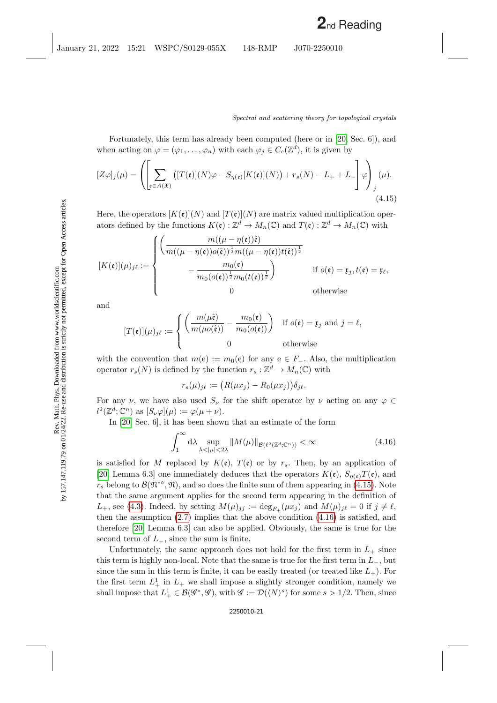Fortunately, this term has already been computed (here or in [\[20,](#page-25-1) Sec. 6]), and when acting on  $\varphi = (\varphi_1, \ldots, \varphi_n)$  with each  $\varphi_j \in C_c(\mathbb{Z}^d)$ , it is given by

<span id="page-20-0"></span>
$$
[Z\varphi]_j(\mu) = \left( \left[ \sum_{\mathfrak{e} \in A(\mathfrak{X})} \left( [T(\mathfrak{e})](N)\varphi - S_{\eta(\mathfrak{e})}[K(\mathfrak{e})](N) \right) + r_s(N) - L_+ + L_- \right] \varphi \right)_{j}(\mu).
$$
\n(4.15)

Here, the operators  $[K(\mathfrak{e})](N)$  and  $[T(\mathfrak{e})](N)$  are matrix valued multiplication operators defined by the functions  $K(\mathfrak{e}): \mathbb{Z}^d \to M_n(\mathbb{C})$  and  $T(\mathfrak{e}): \mathbb{Z}^d \to M_n(\mathbb{C})$  with

$$
[K(\mathfrak{e})](\mu)_{j\ell} := \begin{cases} \left( \frac{m((\mu - \eta(\mathfrak{e}))\hat{\mathfrak{e}})}{m((\mu - \eta(\mathfrak{e}))o(\hat{\mathfrak{e}}))^{\frac{1}{2}}m((\mu - \eta(\mathfrak{e}))t(\hat{\mathfrak{e}}))^{\frac{1}{2}}} \\ - \frac{m_0(\mathfrak{e})}{m_0(o(\mathfrak{e}))^{\frac{1}{2}}m_0(t(\mathfrak{e}))^{\frac{1}{2}}} \right) & \text{if } o(\mathfrak{e}) = \mathfrak{x}_j, t(\mathfrak{e}) = \mathfrak{x}_\ell, \\ 0 & \text{otherwise} \end{cases}
$$

and

$$
[T(\mathfrak{e})](\mu)_{j\ell} := \begin{cases} \left(\frac{m(\mu\hat{\mathfrak{e}})}{m(\mu o(\hat{\mathfrak{e}}))} - \frac{m_0(\mathfrak{e})}{m_0(o(\mathfrak{e}))}\right) & \text{if } o(\mathfrak{e}) = \mathfrak{x}_j \text{ and } j = \ell, \\ 0 & \text{otherwise} \end{cases}
$$

with the convention that  $m(e) := m_0(e)$  for any  $e \in F_-\$ . Also, the multiplication operator  $r_s(N)$  is defined by the function  $r_s : \mathbb{Z}^d \to M_n(\mathbb{C})$  with

$$
r_s(\mu)_{j\ell} := \big(R(\mu x_j) - R_0(\mu x_j)\big)\delta_{j\ell}.
$$

For any  $\nu$ , we have also used  $S_{\nu}$  for the shift operator by  $\nu$  acting on any  $\varphi \in$  $l^2(\mathbb{Z}^d; \mathbb{C}^n)$  as  $[S_{\nu}\varphi](\mu) := \varphi(\mu + \nu)$ .

In [\[20,](#page-25-1) Sec. 6], it has been shown that an estimate of the form

<span id="page-20-1"></span>
$$
\int_{1}^{\infty} d\lambda \sup_{\lambda < |\mu| < 2\lambda} \|M(\mu)\|_{\mathcal{B}(\ell^2(\mathbb{Z}^d; \mathbb{C}^n))} < \infty \tag{4.16}
$$

is satisfied for M replaced by  $K(\mathfrak{e})$ ,  $T(\mathfrak{e})$  or by  $r_s$ . Then, by an application of [\[20,](#page-25-1) Lemma 6.3] one immediately deduces that the operators  $K(\mathfrak{e}), S_{\eta(\mathfrak{e})}T(\mathfrak{e}),$  and  $r_s$  belong to  $\mathcal{B}(\mathfrak{N}^{*o}, \mathfrak{N})$ , and so does the finite sum of them appearing in [\(4.15\)](#page-20-0). Note that the same argument applies for the second term appearing in the definition of  $L_+$ , see [\(4.3\)](#page-14-2). Indeed, by setting  $M(\mu)_{jj} := \deg_{F_+}(\mu x_j)$  and  $M(\mu)_{j\ell} = 0$  if  $j \neq \ell$ , then the assumption  $(2.7)$  implies that the above condition  $(4.16)$  is satisfied, and therefore [\[20,](#page-25-1) Lemma 6.3] can also be applied. Obviously, the same is true for the second term of  $L_$ , since the sum is finite.

Unfortunately, the same approach does not hold for the first term in  $L_{+}$  since this term is highly non-local. Note that the same is true for the first term in  $L_$ , but since the sum in this term is finite, it can be easily treated (or treated like  $L_{+}$ ). For the first term  $L_+^1$  in  $L_+$  we shall impose a slightly stronger condition, namely we shall impose that  $L^1_+\in \mathcal{B}(\mathscr{G}^*,\mathscr{G})$ , with  $\mathscr{G}:=\mathcal{D}(\langle N\rangle^s)$  for some  $s>1/2$ . Then, since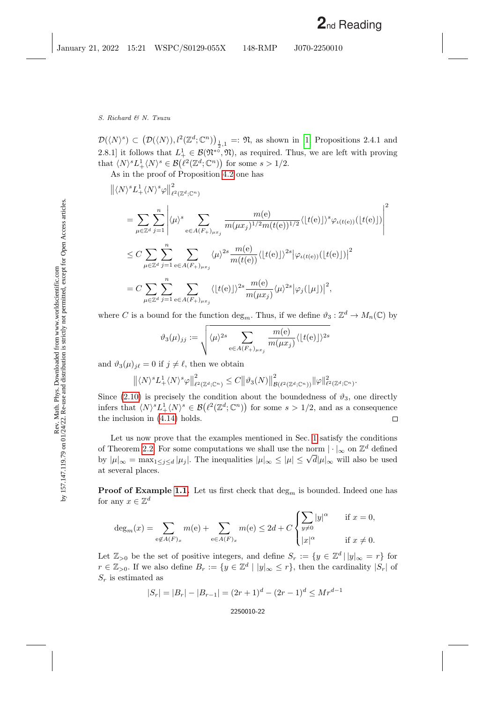$\mathcal{D}(\langle N \rangle^s) \subset (\mathcal{D}(\langle N \rangle), l^2(\mathbb{Z}^d; \mathbb{C}^n))_{\frac{1}{2},1} =: \mathfrak{N}, \text{ as shown in } [1, \text{ Propositions 2.4.1 and}$  $\mathcal{D}(\langle N \rangle^s) \subset (\mathcal{D}(\langle N \rangle), l^2(\mathbb{Z}^d; \mathbb{C}^n))_{\frac{1}{2},1} =: \mathfrak{N}, \text{ as shown in } [1, \text{ Propositions 2.4.1 and}$  $\mathcal{D}(\langle N \rangle^s) \subset (\mathcal{D}(\langle N \rangle), l^2(\mathbb{Z}^d; \mathbb{C}^n))_{\frac{1}{2},1} =: \mathfrak{N}, \text{ as shown in } [1, \text{ Propositions 2.4.1 and}$ 2.8.1] it follows that  $L^1_+ \in \mathcal{B}(\mathfrak{N}^{*0}, \mathfrak{N})$ , as required. Thus, we are left with proving that  $\langle N \rangle^s L^1_+ \langle N \rangle^s \in \mathcal{B}(\ell^2(\mathbb{Z}^d; \mathbb{C}^n))$  for some  $s > 1/2$ .

As in the proof of Proposition [4.2](#page-15-3) one has

$$
\begin{split}\n&\|\langle N\rangle^s L^1_+ \langle N\rangle^s \varphi \|^2_{\ell^2(\mathbb{Z}^d; \mathbb{C}^n)} \\
&= \sum_{\mu \in \mathbb{Z}^d} \sum_{j=1}^n \left| \langle \mu \rangle^s \sum_{e \in A(F_+)_{\mu x_j}} \frac{m(e)}{m(\mu x_j)^{1/2} m(t(e))^{1/2}} \langle [t(e)] \rangle^s \varphi_{\iota(t(e))}([t(e)]) \right|^2 \\
&\leq C \sum_{\mu \in \mathbb{Z}^d} \sum_{j=1}^n \sum_{e \in A(F_+)_{\mu x_j}} \langle \mu \rangle^{2s} \frac{m(e)}{m(t(e))} \langle [t(e)] \rangle^{2s} |\varphi_{\iota(t(e))}([t(e)])|^2 \\
&= C \sum_{\mu \in \mathbb{Z}^d} \sum_{j=1}^n \sum_{e \in A(F_+)_{\mu x_j}} \langle [t(e)] \rangle^{2s} \frac{m(e)}{m(\mu x_j)} \langle \mu \rangle^{2s} |\varphi_j([\mu])|^2,\n\end{split}
$$

where C is a bound for the function  $\deg_m$ . Thus, if we define  $\vartheta_3 : \mathbb{Z}^d \to M_n(\mathbb{C})$  by

$$
\vartheta_3(\mu)_{jj} := \sqrt{\langle \mu \rangle^{2s} \sum_{e \in A(F_+)_{\mu x_j}} \frac{m(e)}{m(\mu x_j)} \langle [t(e)] \rangle^{2s}}
$$

and  $\vartheta_3(\mu)_{j\ell} = 0$  if  $j \neq \ell$ , then we obtain

$$
\left\| \langle N \rangle^s L_+^1 \langle N \rangle^s \varphi \right\|_{\ell^2(\mathbb{Z}^d; \mathbb{C}^n)}^2 \leq C \left\| \vartheta_3(N) \right\|_{\mathcal{B}(\ell^2(\mathbb{Z}^d; \mathbb{C}^n))}^2 \|\varphi\|_{\ell^2(\mathbb{Z}^d; \mathbb{C}^n)}^2.
$$

Since [\(2.10\)](#page-9-4) is precisely the condition about the boundedness of  $\vartheta_3$ , one directly infers that  $\langle N \rangle^s L^1_+ \langle N \rangle^s \in \mathcal{B}(\ell^2(\mathbb{Z}^d; \mathbb{C}^n))$  for some  $s > 1/2$ , and as a consequence the inclusion in [\(4.14\)](#page-19-1) holds.  $\Box$ 

Let us now prove that the examples mentioned in Sec. [1](#page-0-0) satisfy the conditions of Theorem [2.2.](#page-8-2) For some computations we shall use the norm  $|\cdot|_{\infty}$  on  $\mathbb{Z}^d$  defined by  $|\mu|_{\infty} = \max_{1 \leq j \leq d} |\mu_j|$ . The inequalities  $|\mu|_{\infty} \leq |\mu| \leq \sqrt{d} |\mu|_{\infty}$  will also be used at several places.

**Proof of Example [1.1.](#page-1-1)** Let us first check that  $\deg_m$  is bounded. Indeed one has for any  $x \in \mathbb{Z}^d$ 

$$
\deg_m(x) = \sum_{e \notin A(F)_x} m(e) + \sum_{e \in A(F)_x} m(e) \le 2d + C \begin{cases} \sum_{y \neq 0} |y|^\alpha & \text{if } x = 0, \\ |x|^\alpha & \text{if } x \neq 0. \end{cases}
$$

Let  $\mathbb{Z}_{>0}$  be the set of positive integers, and define  $S_r := \{y \in \mathbb{Z}^d \mid |y|_{\infty} = r\}$  for  $r \in \mathbb{Z}_{>0}$ . If we also define  $B_r := \{y \in \mathbb{Z}^d \mid |y|_{\infty} \leq r\}$ , then the cardinality  $|S_r|$  of  $S_r$  is estimated as

$$
|S_r| = |B_r| - |B_{r-1}| = (2r+1)^d - (2r-1)^d \le Mr^{d-1}
$$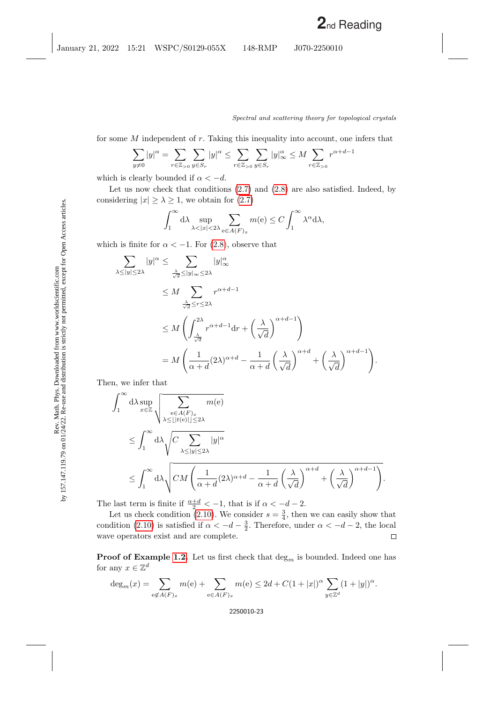for some  $M$  independent of  $r$ . Taking this inequality into account, one infers that

$$
\sum_{y\neq 0} |y|^{\alpha} = \sum_{r \in \mathbb{Z}_{>0}} \sum_{y \in S_r} |y|^{\alpha} \le \sum_{r \in \mathbb{Z}_{>0}} \sum_{y \in S_r} |y|^{\alpha} \le M \sum_{r \in \mathbb{Z}_{>0}} r^{\alpha+d-1}
$$

which is clearly bounded if  $\alpha < -d$ .

Let us now check that conditions [\(2.7\)](#page-9-2) and [\(2.8\)](#page-9-3) are also satisfied. Indeed, by considering  $|x| \geq \lambda \geq 1$ , we obtain for  $(2.7)$ 

$$
\int_1^\infty d\lambda \sup_{\lambda < |x| < 2\lambda} \sum_{e \in A(F)_x} m(e) \le C \int_1^\infty \lambda^\alpha d\lambda,
$$

which is finite for  $\alpha < -1$ . For [\(2.8\)](#page-9-3), observe that

$$
\sum_{\lambda \le |y| \le 2\lambda} |y|^{\alpha} \le \sum_{\frac{\lambda}{\sqrt{d}} \le |y|_{\infty} \le 2\lambda} |y|_{\infty}^{\alpha}
$$
\n
$$
\le M \sum_{\frac{\lambda}{\sqrt{d}} \le r \le 2\lambda} r^{\alpha + d - 1}
$$
\n
$$
\le M \left( \int_{\frac{\lambda}{\sqrt{d}}}^{2\lambda} r^{\alpha + d - 1} dr + \left( \frac{\lambda}{\sqrt{d}} \right)^{\alpha + d - 1} \right)
$$
\n
$$
= M \left( \frac{1}{\alpha + d} (2\lambda)^{\alpha + d} - \frac{1}{\alpha + d} \left( \frac{\lambda}{\sqrt{d}} \right)^{\alpha + d} + \left( \frac{\lambda}{\sqrt{d}} \right)^{\alpha + d - 1} \right).
$$

Then, we infer that

$$
\int_{1}^{\infty} d\lambda \sup_{x \in \mathbb{Z}} \sqrt{\sum_{\substack{e \in A(F)_x \\ \lambda \le |y| \le 2\lambda}} m(e)}
$$
  

$$
\le \int_{1}^{\infty} d\lambda \sqrt{C \sum_{\lambda \le |y| \le 2\lambda} |y|^{\alpha}}
$$
  

$$
\le \int_{1}^{\infty} d\lambda \sqrt{CM \left(\frac{1}{\alpha + d} (2\lambda)^{\alpha + d} - \frac{1}{\alpha + d} \left(\frac{\lambda}{\sqrt{d}}\right)^{\alpha + d} + \left(\frac{\lambda}{\sqrt{d}}\right)^{\alpha + d - 1}\right)}.
$$

The last term is finite if  $\frac{\alpha+d}{2} < -1$ , that is if  $\alpha < -d - 2$ .

Let us check condition [\(2.10\)](#page-9-4). We consider  $s = \frac{3}{4}$ , then we can easily show that condition [\(2.10\)](#page-9-4) is satisfied if  $\alpha < -d - \frac{3}{2}$ . Therefore, under  $\alpha < -d - 2$ , the local wave operators exist and are complete.  $\Box$ 

**Proof of Example [1.2.](#page-1-2)** Let us first check that  $\deg_m$  is bounded. Indeed one has for any  $x \in \mathbb{Z}^d$ 

$$
\deg_m(x) = \sum_{e \notin A(F)_x} m(e) + \sum_{e \in A(F)_x} m(e) \le 2d + C(1+|x|)^{\alpha} \sum_{y \in \mathbb{Z}^d} (1+|y|)^{\alpha}.
$$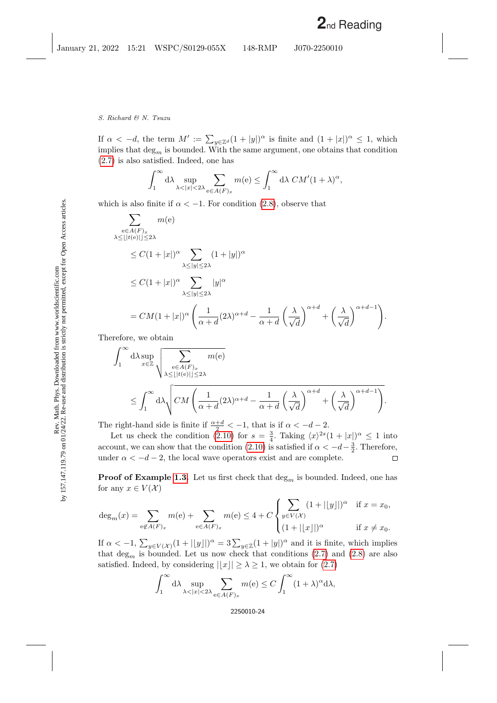If  $\alpha < -d$ , the term  $M' := \sum_{y \in \mathbb{Z}^d} (1 + |y|)^{\alpha}$  is finite and  $(1 + |x|)^{\alpha} \leq 1$ , which implies that  $\deg_m$  is bounded. With the same argument, one obtains that condition [\(2.7\)](#page-9-2) is also satisfied. Indeed, one has

$$
\int_1^\infty \mathrm{d}\lambda \sup_{\lambda < |x| < 2\lambda} \sum_{\mathbf{e} \in A(F)_x} m(\mathbf{e}) \le \int_1^\infty \mathrm{d}\lambda \; CM'(1+\lambda)^\alpha,
$$

which is also finite if  $\alpha < -1$ . For condition [\(2.8\)](#page-9-3), observe that

$$
\sum_{\substack{e \in A(F)_x \\ \lambda \leq |[t(e)] \leq 2\lambda}} m(e)
$$
\n
$$
\leq C(1+|x|)^{\alpha} \sum_{\substack{\lambda \leq |y| \leq 2\lambda}} (1+|y|)^{\alpha}
$$
\n
$$
\leq C(1+|x|)^{\alpha} \sum_{\substack{\lambda \leq |y| \leq 2\lambda}} |y|^{\alpha}
$$
\n
$$
= CM(1+|x|)^{\alpha} \left( \frac{1}{\alpha+d} (2\lambda)^{\alpha+d} - \frac{1}{\alpha+d} \left( \frac{\lambda}{\sqrt{d}} \right)^{\alpha+d} + \left( \frac{\lambda}{\sqrt{d}} \right)^{\alpha+d-1} \right).
$$

Therefore, we obtain

$$
\begin{split} & \int_1^\infty \mathrm{d} \lambda \sup_{x \in \mathbb{Z}} \sqrt{\sum_{\substack{\mathbf{e} \in A(F)_x \\ \lambda \leq \lfloor |t(\mathbf{e})| \rfloor \leq 2\lambda}} m(\mathbf{e})} \\ & \leq \int_1^\infty \mathrm{d} \lambda \sqrt{ C M \left( \frac{1}{\alpha + d} (2 \lambda)^{\alpha + d} - \frac{1}{\alpha + d} \left( \frac{\lambda}{\sqrt{d}} \right)^{\alpha + d} + \left( \frac{\lambda}{\sqrt{d}} \right)^{\alpha + d - 1} \right)} . \end{split}
$$

The right-hand side is finite if  $\frac{\alpha+d}{2} < -1$ , that is if  $\alpha < -d-2$ .

Let us check the condition [\(2.10\)](#page-9-4) for  $s = \frac{3}{4}$ . Taking  $\langle x \rangle^{2s} (1 + |x|)^{\alpha} \leq 1$  into account, we can show that the condition [\(2.10\)](#page-9-4) is satisfied if  $\alpha < -d - \frac{3}{2}$ . Therefore, under  $\alpha < -d-2$ , the local wave operators exist and are complete.  $\Box$ 

**Proof of Example [1.3.](#page-4-1)** Let us first check that  $\deg_m$  is bounded. Indeed, one has for any  $x \in V(\mathcal{X})$ 

$$
\deg_m(x) = \sum_{e \notin A(F)_x} m(e) + \sum_{e \in A(F)_x} m(e) \le 4 + C \begin{cases} \sum_{y \in V(\mathcal{X})} (1 + ||y||)^{\alpha} & \text{if } x = x_0, \\ (1 + ||x||)^{\alpha} & \text{if } x \ne x_0. \end{cases}
$$

If  $\alpha < -1$ ,  $\sum_{y \in V(\mathcal{X})} (1 + ||y||)^{\alpha} = 3 \sum_{y \in \mathbb{Z}} (1 + |y|)^{\alpha}$  and it is finite, which implies that  $\deg_m$  is bounded. Let us now check that conditions [\(2.7\)](#page-9-2) and [\(2.8\)](#page-9-3) are also satisfied. Indeed, by considering  $||x|| \geq \lambda \geq 1$ , we obtain for [\(2.7\)](#page-9-2)

$$
\int_1^\infty d\lambda \sup_{\lambda < |x| < 2\lambda} \sum_{e \in A(F)_x} m(e) \le C \int_1^\infty (1 + \lambda)^\alpha d\lambda,
$$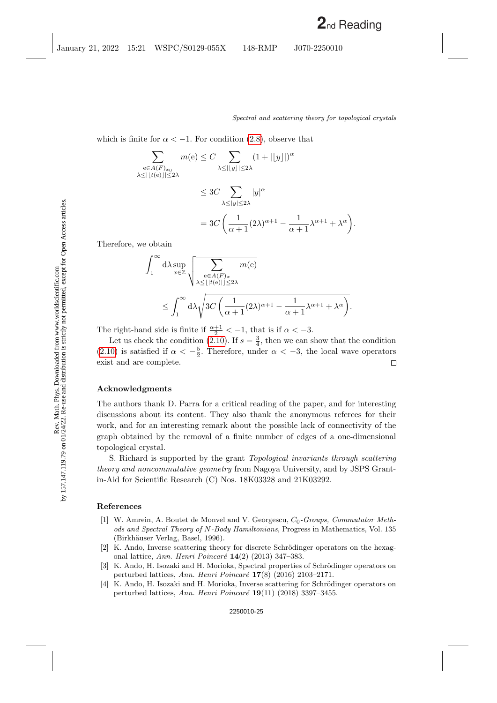which is finite for  $\alpha < -1$ . For condition [\(2.8\)](#page-9-3), observe that

$$
\sum_{\substack{\mathbf{e}\in A(F)_{x_0}\\ \lambda\leq ||t(e)||\leq 2\lambda}} m(\mathbf{e}) \leq C \sum_{\substack{\lambda\leq ||y||\leq 2\lambda}} (1 + ||y||)^{\alpha}
$$
  

$$
\leq 3C \sum_{\substack{\lambda\leq |y|\leq 2\lambda}} |y|^{\alpha}
$$
  

$$
= 3C \left( \frac{1}{\alpha+1} (2\lambda)^{\alpha+1} - \frac{1}{\alpha+1} \lambda^{\alpha+1} + \lambda^{\alpha} \right).
$$

Therefore, we obtain

$$
\int_{1}^{\infty} d\lambda \sup_{x \in \mathbb{Z}} \sqrt{\sum_{\substack{e \in A(F)_x \\ \lambda \leq \lfloor |t(e)| \rfloor \leq 2\lambda}} m(e)}
$$
  
 
$$
\leq \int_{1}^{\infty} d\lambda \sqrt{3C \left( \frac{1}{\alpha + 1} (2\lambda)^{\alpha + 1} - \frac{1}{\alpha + 1} \lambda^{\alpha + 1} + \lambda^{\alpha} \right)}.
$$

The right-hand side is finite if  $\frac{\alpha+1}{2} < -1$ , that is if  $\alpha < -3$ .

Let us check the condition [\(2.10\)](#page-9-4). If  $s = \frac{3}{4}$ , then we can show that the condition [\(2.10\)](#page-9-4) is satisfied if  $\alpha < -\frac{5}{2}$ . Therefore, under  $\alpha < -3$ , the local wave operators exist and are complete.  $\Box$ 

#### Acknowledgments

The authors thank D. Parra for a critical reading of the paper, and for interesting discussions about its content. They also thank the anonymous referees for their work, and for an interesting remark about the possible lack of connectivity of the graph obtained by the removal of a finite number of edges of a one-dimensional topological crystal.

S. Richard is supported by the grant Topological invariants through scattering theory and noncommutative geometry from Nagoya University, and by JSPS Grantin-Aid for Scientific Research (C) Nos. 18K03328 and 21K03292.

## References

- <span id="page-24-3"></span>[1] W. Amrein, A. Boutet de Monvel and V. Georgescu,  $C_0$ -Groups, Commutator Methods and Spectral Theory of N-Body Hamiltonians, Progress in Mathematics, Vol. 135 (Birkhäuser Verlag, Basel, 1996).
- <span id="page-24-1"></span>[2] K. Ando, Inverse scattering theory for discrete Schrödinger operators on the hexagonal lattice, Ann. Henri Poincaré  $14(2)$  (2013) 347–383.
- <span id="page-24-0"></span>[3] K. Ando, H. Isozaki and H. Morioka, Spectral properties of Schrödinger operators on perturbed lattices, Ann. Henri Poincaré  $17(8)$  (2016) 2103–2171.
- <span id="page-24-2"></span>[4] K. Ando, H. Isozaki and H. Morioka, Inverse scattering for Schrödinger operators on perturbed lattices, Ann. Henri Poincaré  $19(11)$  (2018) 3397–3455.